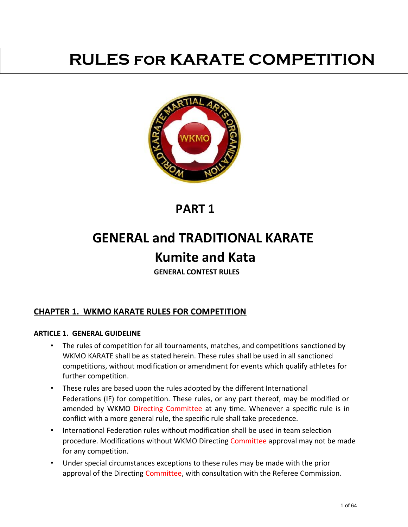# **RULES for KARATE COMPETITION**



## **PART 1**

# **GENERAL and TRADITIONAL KARATE Kumite and Kata**

**GENERAL CONTEST RULES** 

## **CHAPTER 1. WKMO KARATE RULES FOR COMPETITION**

#### **ARTICLE 1. GENERAL GUIDELINE**

- The rules of competition for all tournaments, matches, and competitions sanctioned by WKMO KARATE shall be as stated herein. These rules shall be used in all sanctioned competitions, without modification or amendment for events which qualify athletes for further competition.
- These rules are based upon the rules adopted by the different International Federations (IF) for competition. These rules, or any part thereof, may be modified or amended by WKMO Directing Committee at any time. Whenever a specific rule is in conflict with a more general rule, the specific rule shall take precedence.
- International Federation rules without modification shall be used in team selection procedure. Modifications without WKMO Directing Committee approval may not be made for any competition.
- Under special circumstances exceptions to these rules may be made with the prior approval of the Directing Committee, with consultation with the Referee Commission.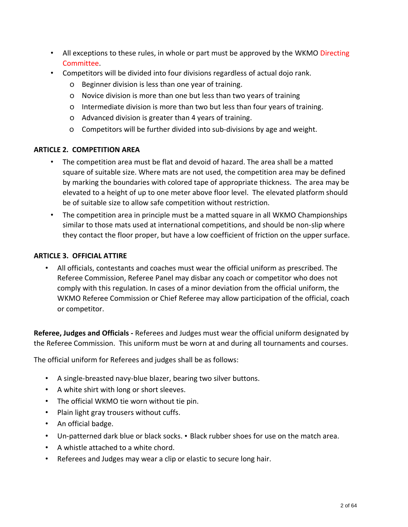- All exceptions to these rules, in whole or part must be approved by the WKMO Directing Committee.
- Competitors will be divided into four divisions regardless of actual dojo rank.
	- o Beginner division is less than one year of training.
	- o Novice division is more than one but less than two years of training
	- o Intermediate division is more than two but less than four years of training.
	- o Advanced division is greater than 4 years of training.
	- o Competitors will be further divided into sub-divisions by age and weight.

## **ARTICLE 2. COMPETITION AREA**

- The competition area must be flat and devoid of hazard. The area shall be a matted square of suitable size. Where mats are not used, the competition area may be defined by marking the boundaries with colored tape of appropriate thickness. The area may be elevated to a height of up to one meter above floor level. The elevated platform should be of suitable size to allow safe competition without restriction.
- The competition area in principle must be a matted square in all WKMO Championships similar to those mats used at international competitions, and should be non-slip where they contact the floor proper, but have a low coefficient of friction on the upper surface.

### **ARTICLE 3. OFFICIAL ATTIRE**

• All officials, contestants and coaches must wear the official uniform as prescribed. The Referee Commission, Referee Panel may disbar any coach or competitor who does not comply with this regulation. In cases of a minor deviation from the official uniform, the WKMO Referee Commission or Chief Referee may allow participation of the official, coach or competitor.

**Referee, Judges and Officials -** Referees and Judges must wear the official uniform designated by the Referee Commission. This uniform must be worn at and during all tournaments and courses.

The official uniform for Referees and judges shall be as follows:

- A single-breasted navy-blue blazer, bearing two silver buttons.
- A white shirt with long or short sleeves.
- The official WKMO tie worn without tie pin.
- Plain light gray trousers without cuffs.
- An official badge.
- Un-patterned dark blue or black socks. Black rubber shoes for use on the match area.
- A whistle attached to a white chord.
- Referees and Judges may wear a clip or elastic to secure long hair.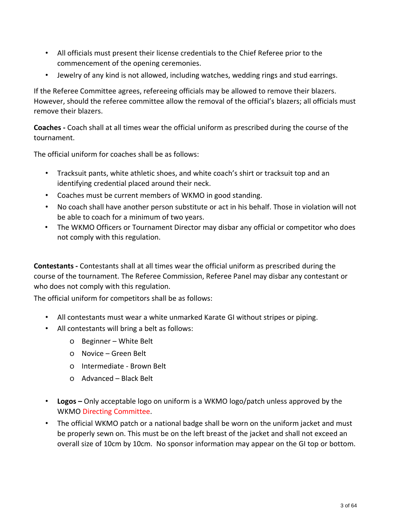- All officials must present their license credentials to the Chief Referee prior to the commencement of the opening ceremonies.
- Jewelry of any kind is not allowed, including watches, wedding rings and stud earrings.

If the Referee Committee agrees, refereeing officials may be allowed to remove their blazers. However, should the referee committee allow the removal of the official's blazers; all officials must remove their blazers.

**Coaches -** Coach shall at all times wear the official uniform as prescribed during the course of the tournament.

The official uniform for coaches shall be as follows:

- Tracksuit pants, white athletic shoes, and white coach's shirt or tracksuit top and an identifying credential placed around their neck.
- Coaches must be current members of WKMO in good standing.
- No coach shall have another person substitute or act in his behalf. Those in violation will not be able to coach for a minimum of two years.
- The WKMO Officers or Tournament Director may disbar any official or competitor who does not comply with this regulation.

**Contestants -** Contestants shall at all times wear the official uniform as prescribed during the course of the tournament. The Referee Commission, Referee Panel may disbar any contestant or who does not comply with this regulation.

The official uniform for competitors shall be as follows:

- All contestants must wear a white unmarked Karate GI without stripes or piping.
- All contestants will bring a belt as follows:
	- o Beginner White Belt
	- o Novice Green Belt
	- o Intermediate Brown Belt
	- o Advanced Black Belt
- **Logos –** Only acceptable logo on uniform is a WKMO logo/patch unless approved by the WKMO Directing Committee.
- The official WKMO patch or a national badge shall be worn on the uniform jacket and must be properly sewn on. This must be on the left breast of the jacket and shall not exceed an overall size of 10cm by 10cm. No sponsor information may appear on the GI top or bottom.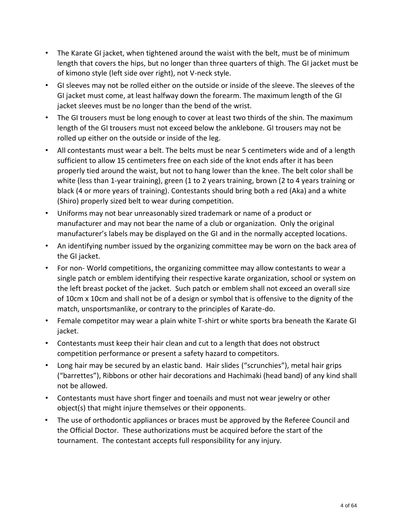- The Karate GI jacket, when tightened around the waist with the belt, must be of minimum length that covers the hips, but no longer than three quarters of thigh. The GI jacket must be of kimono style (left side over right), not V-neck style.
- GI sleeves may not be rolled either on the outside or inside of the sleeve. The sleeves of the GI jacket must come, at least halfway down the forearm. The maximum length of the GI jacket sleeves must be no longer than the bend of the wrist.
- The GI trousers must be long enough to cover at least two thirds of the shin. The maximum length of the GI trousers must not exceed below the anklebone. GI trousers may not be rolled up either on the outside or inside of the leg.
- All contestants must wear a belt. The belts must be near 5 centimeters wide and of a length sufficient to allow 15 centimeters free on each side of the knot ends after it has been properly tied around the waist, but not to hang lower than the knee. The belt color shall be white (less than 1-year training), green (1 to 2 years training, brown (2 to 4 years training or black (4 or more years of training). Contestants should bring both a red (Aka) and a white (Shiro) properly sized belt to wear during competition.
- Uniforms may not bear unreasonably sized trademark or name of a product or manufacturer and may not bear the name of a club or organization. Only the original manufacturer's labels may be displayed on the GI and in the normally accepted locations.
- An identifying number issued by the organizing committee may be worn on the back area of the GI jacket.
- For non- World competitions, the organizing committee may allow contestants to wear a single patch or emblem identifying their respective karate organization, school or system on the left breast pocket of the jacket. Such patch or emblem shall not exceed an overall size of 10cm x 10cm and shall not be of a design or symbol that is offensive to the dignity of the match, unsportsmanlike, or contrary to the principles of Karate-do.
- Female competitor may wear a plain white T-shirt or white sports bra beneath the Karate GI jacket.
- Contestants must keep their hair clean and cut to a length that does not obstruct competition performance or present a safety hazard to competitors.
- Long hair may be secured by an elastic band. Hair slides ("scrunchies"), metal hair grips ("barrettes"), Ribbons or other hair decorations and Hachimaki (head band) of any kind shall not be allowed.
- Contestants must have short finger and toenails and must not wear jewelry or other object(s) that might injure themselves or their opponents.
- The use of orthodontic appliances or braces must be approved by the Referee Council and the Official Doctor. These authorizations must be acquired before the start of the tournament. The contestant accepts full responsibility for any injury.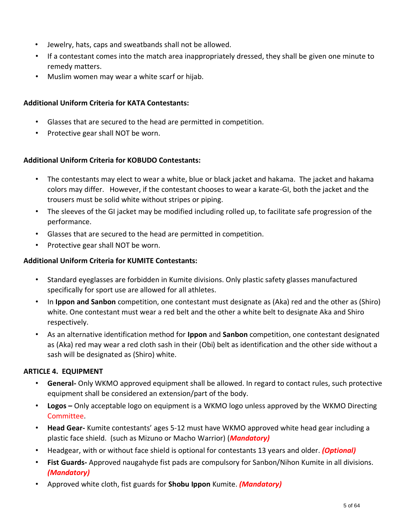- Jewelry, hats, caps and sweatbands shall not be allowed.
- If a contestant comes into the match area inappropriately dressed, they shall be given one minute to remedy matters.
- Muslim women may wear a white scarf or hijab.

#### **Additional Uniform Criteria for KATA Contestants:**

- Glasses that are secured to the head are permitted in competition.
- Protective gear shall NOT be worn.

#### **Additional Uniform Criteria for KOBUDO Contestants:**

- The contestants may elect to wear a white, blue or black jacket and hakama. The jacket and hakama colors may differ. However, if the contestant chooses to wear a karate-GI, both the jacket and the trousers must be solid white without stripes or piping.
- The sleeves of the GI jacket may be modified including rolled up, to facilitate safe progression of the performance.
- Glasses that are secured to the head are permitted in competition.
- Protective gear shall NOT be worn.

#### **Additional Uniform Criteria for KUMITE Contestants:**

- Standard eyeglasses are forbidden in Kumite divisions. Only plastic safety glasses manufactured specifically for sport use are allowed for all athletes.
- In **Ippon and Sanbon** competition, one contestant must designate as (Aka) red and the other as (Shiro) white. One contestant must wear a red belt and the other a white belt to designate Aka and Shiro respectively.
- As an alternative identification method for **Ippon** and **Sanbon** competition, one contestant designated as (Aka) red may wear a red cloth sash in their (Obi) belt as identification and the other side without a sash will be designated as (Shiro) white.

#### **ARTICLE 4. EQUIPMENT**

- **General-** Only WKMO approved equipment shall be allowed. In regard to contact rules, such protective equipment shall be considered an extension/part of the body.
- **Logos –** Only acceptable logo on equipment is a WKMO logo unless approved by the WKMO Directing Committee.
- **Head Gear-** Kumite contestants' ages 5-12 must have WKMO approved white head gear including a plastic face shield. (such as Mizuno or Macho Warrior) (*Mandatory)*
- Headgear, with or without face shield is optional for contestants 13 years and older. *(Optional)*
- **Fist Guards-** Approved naugahyde fist pads are compulsory for Sanbon/Nihon Kumite in all divisions. *(Mandatory)*
- Approved white cloth, fist guards for **Shobu Ippon** Kumite. *(Mandatory)*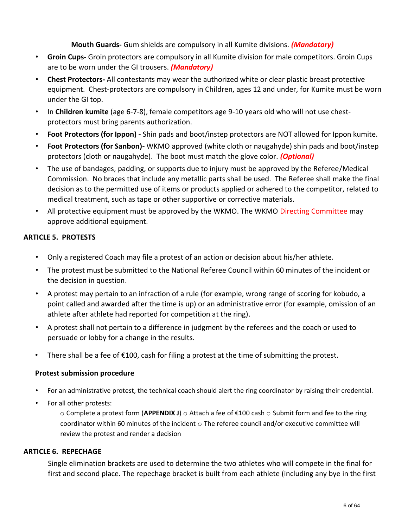#### **Mouth Guards-** Gum shields are compulsory in all Kumite divisions. *(Mandatory)*

- **Groin Cups-** Groin protectors are compulsory in all Kumite division for male competitors. Groin Cups are to be worn under the GI trousers. *(Mandatory)*
- **Chest Protectors-** All contestants may wear the authorized white or clear plastic breast protective equipment. Chest-protectors are compulsory in Children, ages 12 and under, for Kumite must be worn under the GI top.
- In **Children kumite** (age 6‐7‐8), female competitors age 9‐10 years old who will not use chest‐ protectors must bring parents authorization.
- **Foot Protectors (for Ippon) -** Shin pads and boot/instep protectors are NOT allowed for Ippon kumite.
- **Foot Protectors (for Sanbon)-** WKMO approved (white cloth or naugahyde) shin pads and boot/instep protectors (cloth or naugahyde). The boot must match the glove color. *(Optional)*
- The use of bandages, padding, or supports due to injury must be approved by the Referee/Medical Commission. No braces that include any metallic parts shall be used. The Referee shall make the final decision as to the permitted use of items or products applied or adhered to the competitor, related to medical treatment, such as tape or other supportive or corrective materials.
- All protective equipment must be approved by the WKMO. The WKMO Directing Committee may approve additional equipment.

#### **ARTICLE 5. PROTESTS**

- Only a registered Coach may file a protest of an action or decision about his/her athlete.
- The protest must be submitted to the National Referee Council within 60 minutes of the incident or the decision in question.
- A protest may pertain to an infraction of a rule (for example, wrong range of scoring for kobudo, a point called and awarded after the time is up) or an administrative error (for example, omission of an athlete after athlete had reported for competition at the ring).
- A protest shall not pertain to a difference in judgment by the referees and the coach or used to persuade or lobby for a change in the results.
- There shall be a fee of  $\epsilon$ 100, cash for filing a protest at the time of submitting the protest.

#### **Protest submission procedure**

- For an administrative protest, the technical coach should alert the ring coordinator by raising their credential.
- For all other protests:

o Complete a protest form (**APPENDIX J**) o Attach a fee of €100 cash o Submit form and fee to the ring coordinator within 60 minutes of the incident  $\circ$  The referee council and/or executive committee will review the protest and render a decision

#### **ARTICLE 6. REPECHAGE**

Single elimination brackets are used to determine the two athletes who will compete in the final for first and second place. The repechage bracket is built from each athlete (including any bye in the first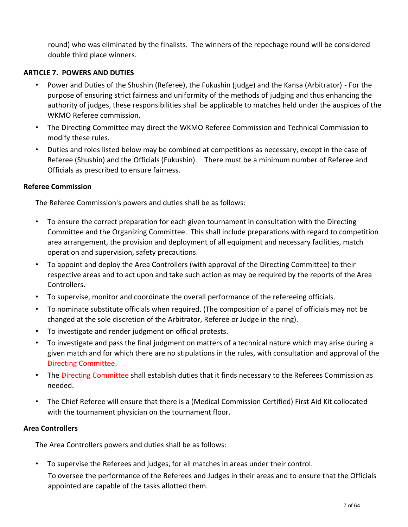round) who was eliminated by the finalists. The winners of the repechage round will be considered double third place winners.

#### **ARTICLE 7. POWERS AND DUTIES**

- Power and Duties of the Shushin (Referee), the Fukushin (judge) and the Kansa (Arbitrator) For the purpose of ensuring strict fairness and uniformity of the methods of judging and thus enhancing the authority of judges, these responsibilities shall be applicable to matches held under the auspices of the WKMO Referee commission.
- The Directing Committee may direct the WKMO Referee Commission and Technical Commission to modify these rules.
- Duties and roles listed below may be combined at competitions as necessary, except in the case of Referee (Shushin) and the Officials (Fukushin). There must be a minimum number of Referee and Officials as prescribed to ensure fairness.

#### **Referee Commission**

The Referee Commission's powers and duties shall be as follows:

- To ensure the correct preparation for each given tournament in consultation with the Directing Committee and the Organizing Committee. This shall include preparations with regard to competition area arrangement, the provision and deployment of all equipment and necessary facilities, match operation and supervision, safety precautions.
- To appoint and deploy the Area Controllers (with approval of the Directing Committee) to their respective areas and to act upon and take such action as may be required by the reports of the Area Controllers.
- To supervise, monitor and coordinate the overall performance of the refereeing officials.
- To nominate substitute officials when required. (The composition of a panel of officials may not be changed at the sole discretion of the Arbitrator, Referee or Judge in the ring).
- To investigate and render judgment on official protests.
- To investigate and pass the final judgment on matters of a technical nature which may arise during a given match and for which there are no stipulations in the rules, with consultation and approval of the Directing Committee.
- The Directing Committee shall establish duties that it finds necessary to the Referees Commission as needed.
- The Chief Referee will ensure that there is a (Medical Commission Certified) First Aid Kit collocated with the tournament physician on the tournament floor.

#### **Area Controllers**

The Area Controllers powers and duties shall be as follows:

• To supervise the Referees and judges, for all matches in areas under their control.

To oversee the performance of the Referees and Judges in their areas and to ensure that the Officials appointed are capable of the tasks allotted them.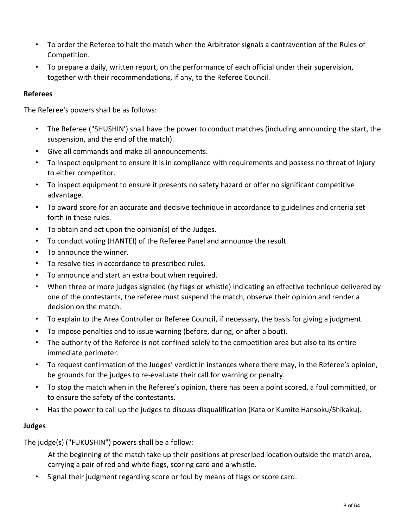- To order the Referee to halt the match when the Arbitrator signals a contravention of the Rules of Competition.
- To prepare a daily, written report, on the performance of each official under their supervision, together with their recommendations, if any, to the Referee Council.

#### **Referees**

The Referee's powers shall be as follows:

- The Referee ("SHUSHIN') shall have the power to conduct matches (including announcing the start, the suspension, and the end of the match).
- Give all commands and make all announcements.
- To inspect equipment to ensure it is in compliance with requirements and possess no threat of injury to either competitor.
- To inspect equipment to ensure it presents no safety hazard or offer no significant competitive advantage.
- To award score for an accurate and decisive technique in accordance to guidelines and criteria set forth in these rules.
- To obtain and act upon the opinion(s) of the Judges.
- To conduct voting (HANTEI) of the Referee Panel and announce the result.
- To announce the winner.
- To resolve ties in accordance to prescribed rules.
- To announce and start an extra bout when required.
- When three or more judges signaled (by flags or whistle) indicating an effective technique delivered by one of the contestants, the referee must suspend the match, observe their opinion and render a decision on the match.
- To explain to the Area Controller or Referee Council, if necessary, the basis for giving a judgment.
- To impose penalties and to issue warning (before, during, or after a bout).
- The authority of the Referee is not confined solely to the competition area but also to its entire immediate perimeter.
- To request confirmation of the Judges' verdict in instances where there may, in the Referee's opinion, be grounds for the judges to re-evaluate their call for warning or penalty.
- To stop the match when in the Referee's opinion, there has been a point scored, a foul committed, or to ensure the safety of the contestants.
- Has the power to call up the judges to discuss disqualification (Kata or Kumite Hansoku/Shikaku).

#### **Judges**

The judge(s) ("FUKUSHIN") powers shall be a follow:

- At the beginning of the match take up their positions at prescribed location outside the match area, carrying a pair of red and white flags, scoring card and a whistle.
- Signal their judgment regarding score or foul by means of flags or score card.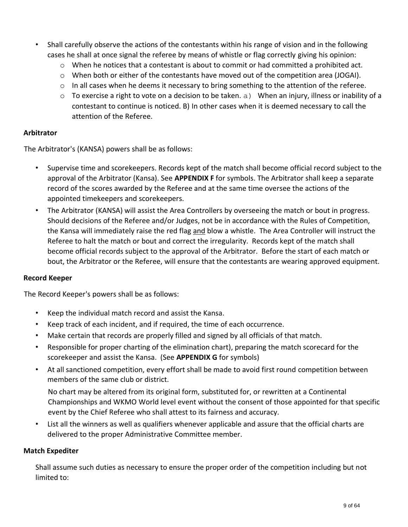- Shall carefully observe the actions of the contestants within his range of vision and in the following cases he shall at once signal the referee by means of whistle or flag correctly giving his opinion:
	- $\circ$  When he notices that a contestant is about to commit or had committed a prohibited act.
	- $\circ$  When both or either of the contestants have moved out of the competition area (JOGAI).
	- $\circ$  In all cases when he deems it necessary to bring something to the attention of the referee.
	- $\circ$  To exercise a right to vote on a decision to be taken. a) When an injury, illness or inability of a contestant to continue is noticed. B) In other cases when it is deemed necessary to call the attention of the Referee.

#### **Arbitrator**

The Arbitrator's (KANSA) powers shall be as follows:

- Supervise time and scorekeepers. Records kept of the match shall become official record subject to the approval of the Arbitrator (Kansa). See **APPENDIX F** for symbols. The Arbitrator shall keep a separate record of the scores awarded by the Referee and at the same time oversee the actions of the appointed timekeepers and scorekeepers.
- The Arbitrator (KANSA) will assist the Area Controllers by overseeing the match or bout in progress. Should decisions of the Referee and/or Judges, not be in accordance with the Rules of Competition, the Kansa will immediately raise the red flag and blow a whistle. The Area Controller will instruct the Referee to halt the match or bout and correct the irregularity. Records kept of the match shall become official records subject to the approval of the Arbitrator. Before the start of each match or bout, the Arbitrator or the Referee, will ensure that the contestants are wearing approved equipment.

#### **Record Keeper**

The Record Keeper's powers shall be as follows:

- Keep the individual match record and assist the Kansa.
- Keep track of each incident, and if required, the time of each occurrence.
- Make certain that records are properly filled and signed by all officials of that match.
- Responsible for proper charting of the elimination chart), preparing the match scorecard for the scorekeeper and assist the Kansa. (See **APPENDIX G** for symbols)
- At all sanctioned competition, every effort shall be made to avoid first round competition between members of the same club or district.

No chart may be altered from its original form, substituted for, or rewritten at a Continental Championships and WKMO World level event without the consent of those appointed for that specific event by the Chief Referee who shall attest to its fairness and accuracy.

• List all the winners as well as qualifiers whenever applicable and assure that the official charts are delivered to the proper Administrative Committee member.

#### **Match Expediter**

Shall assume such duties as necessary to ensure the proper order of the competition including but not limited to: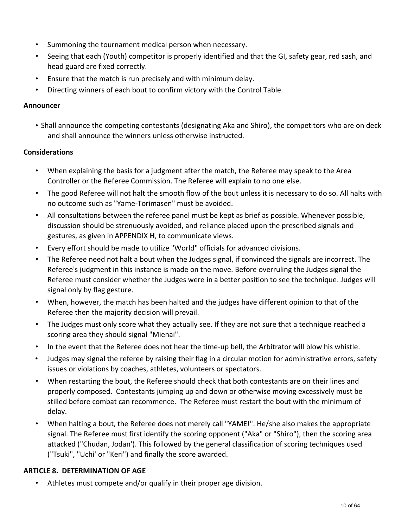- Summoning the tournament medical person when necessary.
- Seeing that each (Youth) competitor is properly identified and that the GI, safety gear, red sash, and head guard are fixed correctly.
- Ensure that the match is run precisely and with minimum delay.
- Directing winners of each bout to confirm victory with the Control Table.

#### **Announcer**

• Shall announce the competing contestants (designating Aka and Shiro), the competitors who are on deck and shall announce the winners unless otherwise instructed.

## **Considerations**

- When explaining the basis for a judgment after the match, the Referee may speak to the Area Controller or the Referee Commission. The Referee will explain to no one else.
- The good Referee will not halt the smooth flow of the bout unless it is necessary to do so. All halts with no outcome such as "Yame-Torimasen" must be avoided.
- All consultations between the referee panel must be kept as brief as possible. Whenever possible, discussion should be strenuously avoided, and reliance placed upon the prescribed signals and gestures, as given in APPENDIX **H**, to communicate views.
- Every effort should be made to utilize "World" officials for advanced divisions.
- The Referee need not halt a bout when the Judges signal, if convinced the signals are incorrect. The Referee's judgment in this instance is made on the move. Before overruling the Judges signal the Referee must consider whether the Judges were in a better position to see the technique. Judges will signal only by flag gesture.
- When, however, the match has been halted and the judges have different opinion to that of the Referee then the majority decision will prevail.
- The Judges must only score what they actually see. If they are not sure that a technique reached a scoring area they should signal "Mienai".
- In the event that the Referee does not hear the time-up bell, the Arbitrator will blow his whistle.
- Judges may signal the referee by raising their flag in a circular motion for administrative errors, safety issues or violations by coaches, athletes, volunteers or spectators.
- When restarting the bout, the Referee should check that both contestants are on their lines and properly composed. Contestants jumping up and down or otherwise moving excessively must be stilled before combat can recommence. The Referee must restart the bout with the minimum of delay.
- When halting a bout, the Referee does not merely call "YAME!". He/she also makes the appropriate signal. The Referee must first identify the scoring opponent ("Aka" or "Shiro"), then the scoring area attacked ("Chudan, Jodan'). This followed by the general classification of scoring techniques used ("Tsuki", "Uchi' or "Keri") and finally the score awarded.

## **ARTICLE 8. DETERMINATION OF AGE**

• Athletes must compete and/or qualify in their proper age division.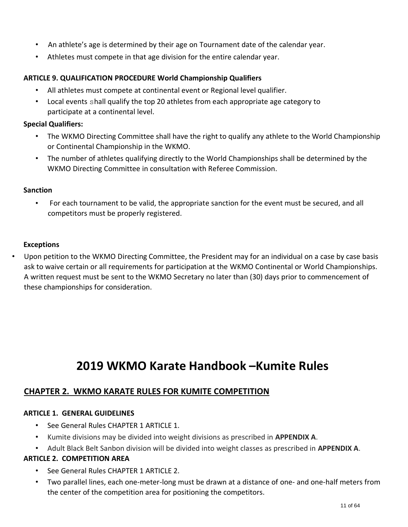- An athlete's age is determined by their age on Tournament date of the calendar year.
- Athletes must compete in that age division for the entire calendar year.

#### **ARTICLE 9. QUALIFICATION PROCEDURE World Championship Qualifiers**

- All athletes must compete at continental event or Regional level qualifier.
- Local events shall qualify the top 20 athletes from each appropriate age category to participate at a continental level.

#### **Special Qualifiers:**

- The WKMO Directing Committee shall have the right to qualify any athlete to the World Championship or Continental Championship in the WKMO.
- The number of athletes qualifying directly to the World Championships shall be determined by the WKMO Directing Committee in consultation with Referee Commission.

#### **Sanction**

• For each tournament to be valid, the appropriate sanction for the event must be secured, and all competitors must be properly registered.

#### **Exceptions**

• Upon petition to the WKMO Directing Committee, the President may for an individual on a case by case basis ask to waive certain or all requirements for participation at the WKMO Continental or World Championships. A written request must be sent to the WKMO Secretary no later than (30) days prior to commencement of these championships for consideration.

## **2019 WKMO Karate Handbook –Kumite Rules**

## **CHAPTER 2. WKMO KARATE RULES FOR KUMITE COMPETITION**

#### **ARTICLE 1. GENERAL GUIDELINES**

- See General Rules CHAPTER 1 ARTICLE 1.
- Kumite divisions may be divided into weight divisions as prescribed in **APPENDIX A**.
- Adult Black Belt Sanbon division will be divided into weight classes as prescribed in **APPENDIX A**.

#### **ARTICLE 2. COMPETITION AREA**

- See General Rules CHAPTER 1 ARTICLE 2.
- Two parallel lines, each one-meter-long must be drawn at a distance of one- and one-half meters from the center of the competition area for positioning the competitors.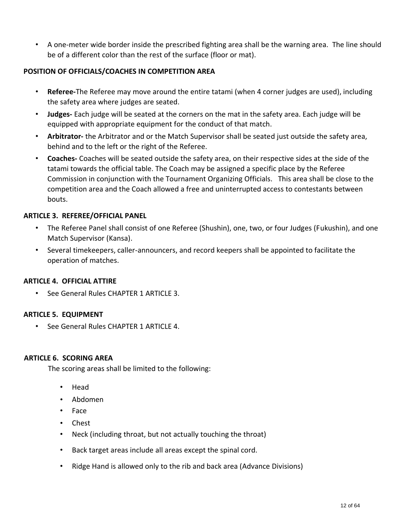• A one-meter wide border inside the prescribed fighting area shall be the warning area. The line should be of a different color than the rest of the surface (floor or mat).

#### **POSITION OF OFFICIALS/COACHES IN COMPETITION AREA**

- **Referee-**The Referee may move around the entire tatami (when 4 corner judges are used), including the safety area where judges are seated.
- **Judges-** Each judge will be seated at the corners on the mat in the safety area. Each judge will be equipped with appropriate equipment for the conduct of that match.
- **Arbitrator-** the Arbitrator and or the Match Supervisor shall be seated just outside the safety area, behind and to the left or the right of the Referee.
- **Coaches-** Coaches will be seated outside the safety area, on their respective sides at the side of the tatami towards the official table. The Coach may be assigned a specific place by the Referee Commission in conjunction with the Tournament Organizing Officials. This area shall be close to the competition area and the Coach allowed a free and uninterrupted access to contestants between bouts.

#### **ARTICLE 3. REFEREE/OFFICIAL PANEL**

- The Referee Panel shall consist of one Referee (Shushin), one, two, or four Judges (Fukushin), and one Match Supervisor (Kansa).
- Several timekeepers, caller-announcers, and record keepers shall be appointed to facilitate the operation of matches.

#### **ARTICLE 4. OFFICIAL ATTIRE**

• See General Rules CHAPTER 1 ARTICLE 3.

#### **ARTICLE 5. EQUIPMENT**

• See General Rules CHAPTER 1 ARTICLE 4.

#### **ARTICLE 6. SCORING AREA**

The scoring areas shall be limited to the following:

- Head
- Abdomen
- Face
- Chest
- Neck (including throat, but not actually touching the throat)
- Back target areas include all areas except the spinal cord.
- Ridge Hand is allowed only to the rib and back area (Advance Divisions)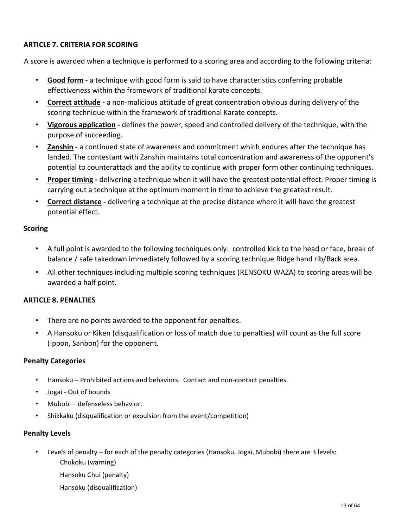#### **ARTICLE 7. CRITERIA FOR SCORING**

A score is awarded when a technique is performed to a scoring area and according to the following criteria:

- **Good form -** a technique with good form is said to have characteristics conferring probable effectiveness within the framework of traditional karate concepts.
- **Correct attitude -** a non-malicious attitude of great concentration obvious during delivery of the scoring technique within the framework of traditional Karate concepts.
- **Vigorous application -** defines the power, speed and controlled delivery of the technique, with the purpose of succeeding.
- **Zanshin -** a continued state of awareness and commitment which endures after the technique has landed. The contestant with Zanshin maintains total concentration and awareness of the opponent's potential to counterattack and the ability to continue with proper form other continuing techniques.
- **Proper timing -** delivering a technique when it will have the greatest potential effect. Proper timing is carrying out a technique at the optimum moment in time to achieve the greatest result.
- **Correct distance -** delivering a technique at the precise distance where it will have the greatest potential effect.

#### **Scoring**

- A full point is awarded to the following techniques only: controlled kick to the head or face, break of balance / safe takedown immediately followed by a scoring technique Ridge hand rib/Back area.
- All other techniques including multiple scoring techniques (RENSOKU WAZA) to scoring areas will be awarded a half point.

#### **ARTICLE 8. PENALTIES**

- There are no points awarded to the opponent for penalties.
- A Hansoku or Kiken (disqualification or loss of match due to penalties) will count as the full score (Ippon, Sanbon) for the opponent.

#### **Penalty Categories**

- Hansoku Prohibited actions and behaviors. Contact and non-contact penalties.
- Jogai Out of bounds
- Mubobi defenseless behavior.
- Shikkaku (disqualification or expulsion from the event/competition)

#### **Penalty Levels**

- Levels of penalty for each of the penalty categories (Hansoku, Jogai, Mubobi) there are 3 levels: Chukoku (warning)
	- Hansoku Chui (penalty)
	- Hansoku (disqualification)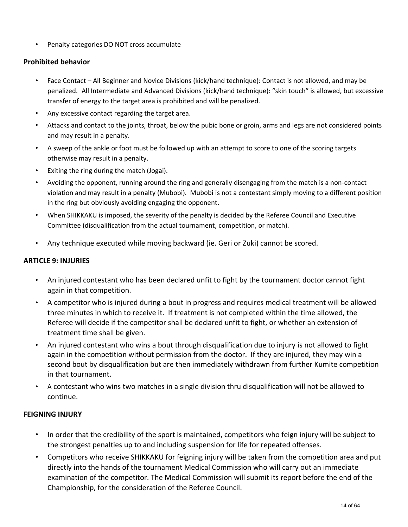• Penalty categories DO NOT cross accumulate

#### **Prohibited behavior**

- Face Contact All Beginner and Novice Divisions (kick/hand technique): Contact is not allowed, and may be penalized. All Intermediate and Advanced Divisions (kick/hand technique): "skin touch" is allowed, but excessive transfer of energy to the target area is prohibited and will be penalized.
- Any excessive contact regarding the target area.
- Attacks and contact to the joints, throat, below the pubic bone or groin, arms and legs are not considered points and may result in a penalty.
- A sweep of the ankle or foot must be followed up with an attempt to score to one of the scoring targets otherwise may result in a penalty.
- Exiting the ring during the match (Jogai).
- Avoiding the opponent, running around the ring and generally disengaging from the match is a non-contact violation and may result in a penalty (Mubobi). Mubobi is not a contestant simply moving to a different position in the ring but obviously avoiding engaging the opponent.
- When SHIKKAKU is imposed, the severity of the penalty is decided by the Referee Council and Executive Committee (disqualification from the actual tournament, competition, or match).
- Any technique executed while moving backward (ie. Geri or Zuki) cannot be scored.

#### **ARTICLE 9: INJURIES**

- An injured contestant who has been declared unfit to fight by the tournament doctor cannot fight again in that competition.
- A competitor who is injured during a bout in progress and requires medical treatment will be allowed three minutes in which to receive it. If treatment is not completed within the time allowed, the Referee will decide if the competitor shall be declared unfit to fight, or whether an extension of treatment time shall be given.
- An injured contestant who wins a bout through disqualification due to injury is not allowed to fight again in the competition without permission from the doctor. If they are injured, they may win a second bout by disqualification but are then immediately withdrawn from further Kumite competition in that tournament.
- A contestant who wins two matches in a single division thru disqualification will not be allowed to continue.

#### **FEIGNING INJURY**

- In order that the credibility of the sport is maintained, competitors who feign injury will be subject to the strongest penalties up to and including suspension for life for repeated offenses.
- Competitors who receive SHIKKAKU for feigning injury will be taken from the competition area and put directly into the hands of the tournament Medical Commission who will carry out an immediate examination of the competitor. The Medical Commission will submit its report before the end of the Championship, for the consideration of the Referee Council.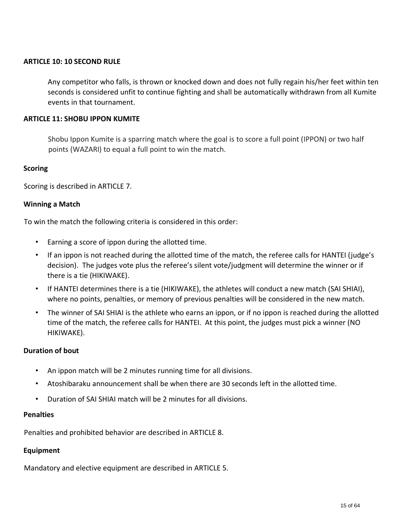#### **ARTICLE 10: 10 SECOND RULE**

Any competitor who falls, is thrown or knocked down and does not fully regain his/her feet within ten seconds is considered unfit to continue fighting and shall be automatically withdrawn from all Kumite events in that tournament.

#### **ARTICLE 11: SHOBU IPPON KUMITE**

Shobu Ippon Kumite is a sparring match where the goal is to score a full point (IPPON) or two half points (WAZARI) to equal a full point to win the match.

#### **Scoring**

Scoring is described in ARTICLE 7.

#### **Winning a Match**

To win the match the following criteria is considered in this order:

- Earning a score of ippon during the allotted time.
- If an ippon is not reached during the allotted time of the match, the referee calls for HANTEI (judge's decision). The judges vote plus the referee's silent vote/judgment will determine the winner or if there is a tie (HIKIWAKE).
- If HANTEI determines there is a tie (HIKIWAKE), the athletes will conduct a new match (SAI SHIAI), where no points, penalties, or memory of previous penalties will be considered in the new match.
- The winner of SAI SHIAI is the athlete who earns an ippon, or if no ippon is reached during the allotted time of the match, the referee calls for HANTEI. At this point, the judges must pick a winner (NO HIKIWAKE).

#### **Duration of bout**

- An ippon match will be 2 minutes running time for all divisions.
- Atoshibaraku announcement shall be when there are 30 seconds left in the allotted time.
- Duration of SAI SHIAI match will be 2 minutes for all divisions.

#### **Penalties**

Penalties and prohibited behavior are described in ARTICLE 8.

#### **Equipment**

Mandatory and elective equipment are described in ARTICLE 5.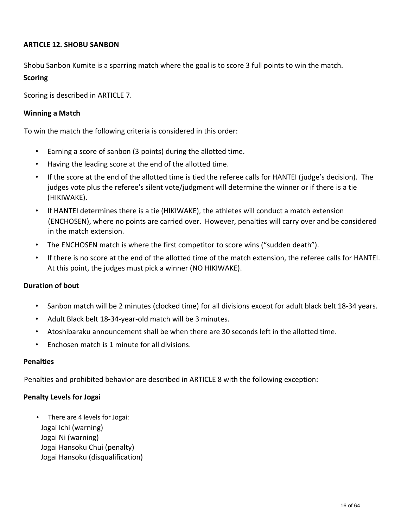#### **ARTICLE 12. SHOBU SANBON**

Shobu Sanbon Kumite is a sparring match where the goal is to score 3 full points to win the match.

#### **Scoring**

Scoring is described in ARTICLE 7.

#### **Winning a Match**

To win the match the following criteria is considered in this order:

- Earning a score of sanbon (3 points) during the allotted time.
- Having the leading score at the end of the allotted time.
- If the score at the end of the allotted time is tied the referee calls for HANTEI (judge's decision). The judges vote plus the referee's silent vote/judgment will determine the winner or if there is a tie (HIKIWAKE).
- If HANTEI determines there is a tie (HIKIWAKE), the athletes will conduct a match extension (ENCHOSEN), where no points are carried over. However, penalties will carry over and be considered in the match extension.
- The ENCHOSEN match is where the first competitor to score wins ("sudden death").
- If there is no score at the end of the allotted time of the match extension, the referee calls for HANTEI. At this point, the judges must pick a winner (NO HIKIWAKE).

#### **Duration of bout**

- Sanbon match will be 2 minutes (clocked time) for all divisions except for adult black belt 18-34 years.
- Adult Black belt 18-34-year-old match will be 3 minutes.
- Atoshibaraku announcement shall be when there are 30 seconds left in the allotted time.
- Enchosen match is 1 minute for all divisions.

#### **Penalties**

Penalties and prohibited behavior are described in ARTICLE 8 with the following exception:

#### **Penalty Levels for Jogai**

• There are 4 levels for Jogai: Jogai Ichi (warning) Jogai Ni (warning) Jogai Hansoku Chui (penalty) Jogai Hansoku (disqualification)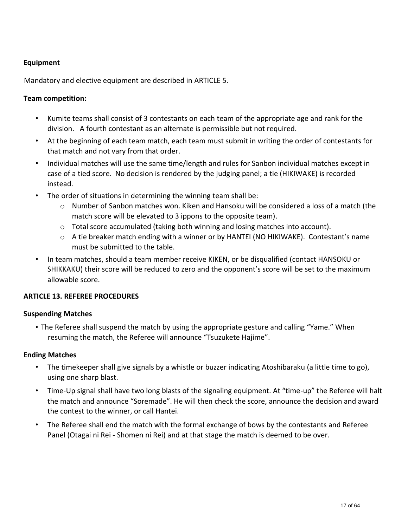#### **Equipment**

Mandatory and elective equipment are described in ARTICLE 5.

#### **Team competition:**

- Kumite teams shall consist of 3 contestants on each team of the appropriate age and rank for the division. A fourth contestant as an alternate is permissible but not required.
- At the beginning of each team match, each team must submit in writing the order of contestants for that match and not vary from that order.
- Individual matches will use the same time/length and rules for Sanbon individual matches except in case of a tied score. No decision is rendered by the judging panel; a tie (HIKIWAKE) is recorded instead.
- The order of situations in determining the winning team shall be:
	- o Number of Sanbon matches won. Kiken and Hansoku will be considered a loss of a match (the match score will be elevated to 3 ippons to the opposite team).
	- o Total score accumulated (taking both winning and losing matches into account).
	- $\circ$  A tie breaker match ending with a winner or by HANTEI (NO HIKIWAKE). Contestant's name must be submitted to the table.
- In team matches, should a team member receive KIKEN, or be disqualified (contact HANSOKU or SHIKKAKU) their score will be reduced to zero and the opponent's score will be set to the maximum allowable score.

#### **ARTICLE 13. REFEREE PROCEDURES**

#### **Suspending Matches**

• The Referee shall suspend the match by using the appropriate gesture and calling "Yame." When resuming the match, the Referee will announce "Tsuzukete Hajime".

#### **Ending Matches**

- The timekeeper shall give signals by a whistle or buzzer indicating Atoshibaraku (a little time to go), using one sharp blast.
- Time-Up signal shall have two long blasts of the signaling equipment. At "time-up" the Referee will halt the match and announce "Soremade". He will then check the score, announce the decision and award the contest to the winner, or call Hantei.
- The Referee shall end the match with the formal exchange of bows by the contestants and Referee Panel (Otagai ni Rei - Shomen ni Rei) and at that stage the match is deemed to be over.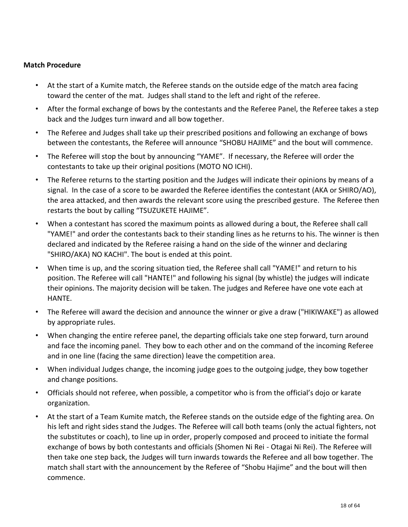#### **Match Procedure**

- At the start of a Kumite match, the Referee stands on the outside edge of the match area facing toward the center of the mat. Judges shall stand to the left and right of the referee.
- After the formal exchange of bows by the contestants and the Referee Panel, the Referee takes a step back and the Judges turn inward and all bow together.
- The Referee and Judges shall take up their prescribed positions and following an exchange of bows between the contestants, the Referee will announce "SHOBU HAJIME" and the bout will commence.
- The Referee will stop the bout by announcing "YAME". If necessary, the Referee will order the contestants to take up their original positions (MOTO NO ICHI).
- The Referee returns to the starting position and the Judges will indicate their opinions by means of a signal. In the case of a score to be awarded the Referee identifies the contestant (AKA or SHIRO/AO), the area attacked, and then awards the relevant score using the prescribed gesture. The Referee then restarts the bout by calling "TSUZUKETE HAJIME".
- When a contestant has scored the maximum points as allowed during a bout, the Referee shall call "YAME!" and order the contestants back to their standing lines as he returns to his. The winner is then declared and indicated by the Referee raising a hand on the side of the winner and declaring "SHIRO/AKA) NO KACHI". The bout is ended at this point.
- When time is up, and the scoring situation tied, the Referee shall call "YAME!" and return to his position. The Referee will call "HANTE!" and following his signal (by whistle) the judges will indicate their opinions. The majority decision will be taken. The judges and Referee have one vote each at HANTE.
- The Referee will award the decision and announce the winner or give a draw ("HIKIWAKE") as allowed by appropriate rules.
- When changing the entire referee panel, the departing officials take one step forward, turn around and face the incoming panel. They bow to each other and on the command of the incoming Referee and in one line (facing the same direction) leave the competition area.
- When individual Judges change, the incoming judge goes to the outgoing judge, they bow together and change positions.
- Officials should not referee, when possible, a competitor who is from the official's dojo or karate organization.
- At the start of a Team Kumite match, the Referee stands on the outside edge of the fighting area. On his left and right sides stand the Judges. The Referee will call both teams (only the actual fighters, not the substitutes or coach), to line up in order, properly composed and proceed to initiate the formal exchange of bows by both contestants and officials (Shomen Ni Rei - Otagai Ni Rei). The Referee will then take one step back, the Judges will turn inwards towards the Referee and all bow together. The match shall start with the announcement by the Referee of "Shobu Hajime" and the bout will then commence.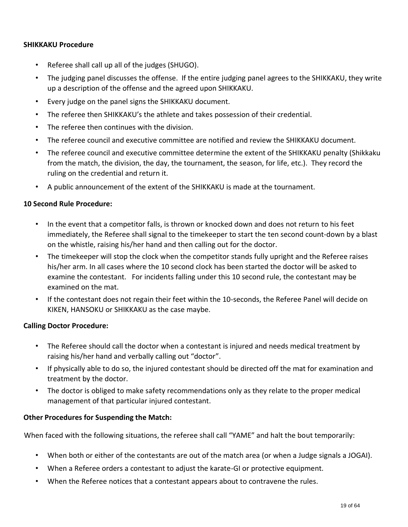#### **SHIKKAKU Procedure**

- Referee shall call up all of the judges (SHUGO).
- The judging panel discusses the offense. If the entire judging panel agrees to the SHIKKAKU, they write up a description of the offense and the agreed upon SHIKKAKU.
- Every judge on the panel signs the SHIKKAKU document.
- The referee then SHIKKAKU's the athlete and takes possession of their credential.
- The referee then continues with the division.
- The referee council and executive committee are notified and review the SHIKKAKU document.
- The referee council and executive committee determine the extent of the SHIKKAKU penalty (Shikkaku from the match, the division, the day, the tournament, the season, for life, etc.). They record the ruling on the credential and return it.
- A public announcement of the extent of the SHIKKAKU is made at the tournament.

#### **10 Second Rule Procedure:**

- In the event that a competitor falls, is thrown or knocked down and does not return to his feet immediately, the Referee shall signal to the timekeeper to start the ten second count-down by a blast on the whistle, raising his/her hand and then calling out for the doctor.
- The timekeeper will stop the clock when the competitor stands fully upright and the Referee raises his/her arm. In all cases where the 10 second clock has been started the doctor will be asked to examine the contestant. For incidents falling under this 10 second rule, the contestant may be examined on the mat.
- If the contestant does not regain their feet within the 10-seconds, the Referee Panel will decide on KIKEN, HANSOKU or SHIKKAKU as the case maybe.

#### **Calling Doctor Procedure:**

- The Referee should call the doctor when a contestant is injured and needs medical treatment by raising his/her hand and verbally calling out "doctor".
- If physically able to do so, the injured contestant should be directed off the mat for examination and treatment by the doctor.
- The doctor is obliged to make safety recommendations only as they relate to the proper medical management of that particular injured contestant.

#### **Other Procedures for Suspending the Match:**

When faced with the following situations, the referee shall call "YAME" and halt the bout temporarily:

- When both or either of the contestants are out of the match area (or when a Judge signals a JOGAI).
- When a Referee orders a contestant to adjust the karate-GI or protective equipment.
- When the Referee notices that a contestant appears about to contravene the rules.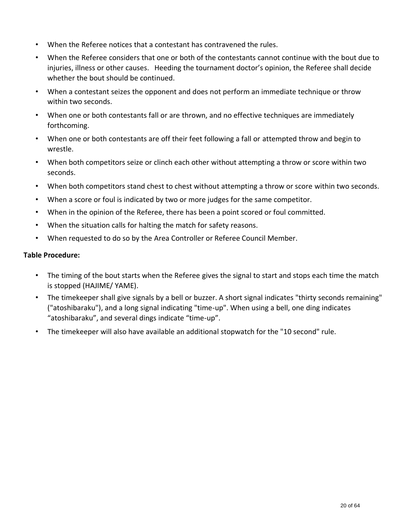- When the Referee notices that a contestant has contravened the rules.
- When the Referee considers that one or both of the contestants cannot continue with the bout due to injuries, illness or other causes. Heeding the tournament doctor's opinion, the Referee shall decide whether the bout should be continued.
- When a contestant seizes the opponent and does not perform an immediate technique or throw within two seconds.
- When one or both contestants fall or are thrown, and no effective techniques are immediately forthcoming.
- When one or both contestants are off their feet following a fall or attempted throw and begin to wrestle.
- When both competitors seize or clinch each other without attempting a throw or score within two seconds.
- When both competitors stand chest to chest without attempting a throw or score within two seconds.
- When a score or foul is indicated by two or more judges for the same competitor.
- When in the opinion of the Referee, there has been a point scored or foul committed.
- When the situation calls for halting the match for safety reasons.
- When requested to do so by the Area Controller or Referee Council Member.

#### **Table Procedure:**

- The timing of the bout starts when the Referee gives the signal to start and stops each time the match is stopped (HAJIME/ YAME).
- The timekeeper shall give signals by a bell or buzzer. A short signal indicates "thirty seconds remaining" ("atoshibaraku"), and a long signal indicating "time-up". When using a bell, one ding indicates "atoshibaraku", and several dings indicate "time-up".
- The timekeeper will also have available an additional stopwatch for the "10 second" rule.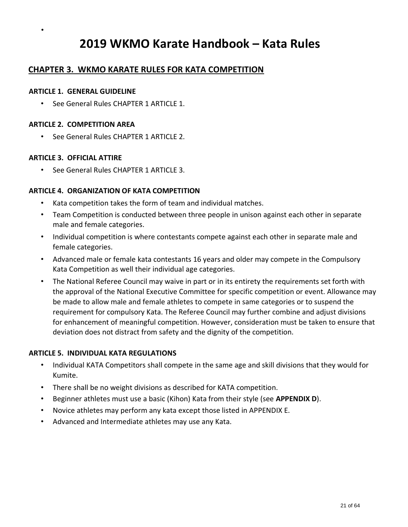## **2019 WKMO Karate Handbook – Kata Rules**

## **CHAPTER 3. WKMO KARATE RULES FOR KATA COMPETITION**

#### **ARTICLE 1. GENERAL GUIDELINE**

•

• See General Rules CHAPTER 1 ARTICLE 1.

#### **ARTICLE 2. COMPETITION AREA**

• See General Rules CHAPTER 1 ARTICLE 2.

#### **ARTICLE 3. OFFICIAL ATTIRE**

• See General Rules CHAPTER 1 ARTICLE 3.

#### **ARTICLE 4. ORGANIZATION OF KATA COMPETITION**

- Kata competition takes the form of team and individual matches.
- Team Competition is conducted between three people in unison against each other in separate male and female categories.
- Individual competition is where contestants compete against each other in separate male and female categories.
- Advanced male or female kata contestants 16 years and older may compete in the Compulsory Kata Competition as well their individual age categories.
- The National Referee Council may waive in part or in its entirety the requirements set forth with the approval of the National Executive Committee for specific competition or event. Allowance may be made to allow male and female athletes to compete in same categories or to suspend the requirement for compulsory Kata. The Referee Council may further combine and adjust divisions for enhancement of meaningful competition. However, consideration must be taken to ensure that deviation does not distract from safety and the dignity of the competition.

#### **ARTICLE 5. INDIVIDUAL KATA REGULATIONS**

- Individual KATA Competitors shall compete in the same age and skill divisions that they would for Kumite.
- There shall be no weight divisions as described for KATA competition.
- Beginner athletes must use a basic (Kihon) Kata from their style (see **APPENDIX D**).
- Novice athletes may perform any kata except those listed in APPENDIX E.
- Advanced and Intermediate athletes may use any Kata.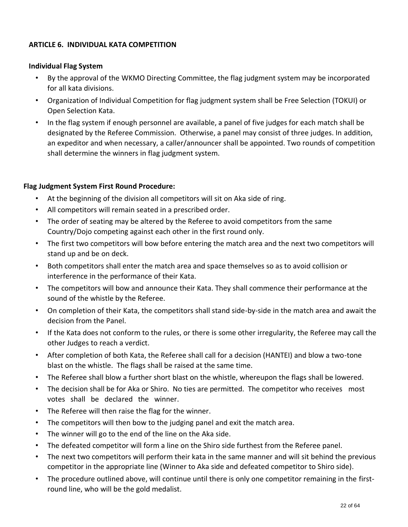#### **ARTICLE 6. INDIVIDUAL KATA COMPETITION**

#### **Individual Flag System**

- By the approval of the WKMO Directing Committee, the flag judgment system may be incorporated for all kata divisions.
- Organization of Individual Competition for flag judgment system shall be Free Selection (TOKUI) or Open Selection Kata.
- In the flag system if enough personnel are available, a panel of five judges for each match shall be designated by the Referee Commission. Otherwise, a panel may consist of three judges. In addition, an expeditor and when necessary, a caller/announcer shall be appointed. Two rounds of competition shall determine the winners in flag judgment system.

#### **Flag Judgment System First Round Procedure:**

- At the beginning of the division all competitors will sit on Aka side of ring.
- All competitors will remain seated in a prescribed order.
- The order of seating may be altered by the Referee to avoid competitors from the same Country/Dojo competing against each other in the first round only.
- The first two competitors will bow before entering the match area and the next two competitors will stand up and be on deck.
- Both competitors shall enter the match area and space themselves so as to avoid collision or interference in the performance of their Kata.
- The competitors will bow and announce their Kata. They shall commence their performance at the sound of the whistle by the Referee.
- On completion of their Kata, the competitors shall stand side-by-side in the match area and await the decision from the Panel.
- If the Kata does not conform to the rules, or there is some other irregularity, the Referee may call the other Judges to reach a verdict.
- After completion of both Kata, the Referee shall call for a decision (HANTEI) and blow a two-tone blast on the whistle. The flags shall be raised at the same time.
- The Referee shall blow a further short blast on the whistle, whereupon the flags shall be lowered.
- The decision shall be for Aka or Shiro. No ties are permitted. The competitor who receives most votes shall be declared the winner.
- The Referee will then raise the flag for the winner.
- The competitors will then bow to the judging panel and exit the match area.
- The winner will go to the end of the line on the Aka side.
- The defeated competitor will form a line on the Shiro side furthest from the Referee panel.
- The next two competitors will perform their kata in the same manner and will sit behind the previous competitor in the appropriate line (Winner to Aka side and defeated competitor to Shiro side).
- The procedure outlined above, will continue until there is only one competitor remaining in the firstround line, who will be the gold medalist.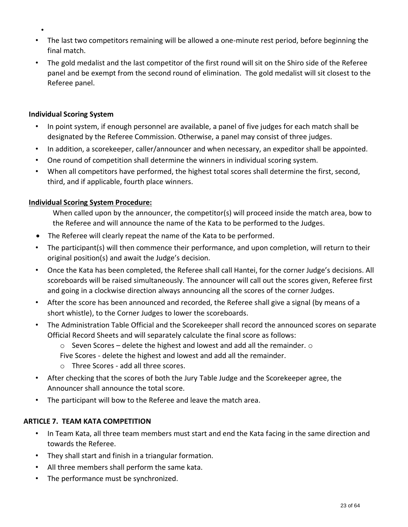- The last two competitors remaining will be allowed a one-minute rest period, before beginning the final match.
- The gold medalist and the last competitor of the first round will sit on the Shiro side of the Referee panel and be exempt from the second round of elimination. The gold medalist will sit closest to the Referee panel.

#### **Individual Scoring System**

•

- In point system, if enough personnel are available, a panel of five judges for each match shall be designated by the Referee Commission. Otherwise, a panel may consist of three judges.
- In addition, a scorekeeper, caller/announcer and when necessary, an expeditor shall be appointed.
- One round of competition shall determine the winners in individual scoring system.
- When all competitors have performed, the highest total scores shall determine the first, second, third, and if applicable, fourth place winners.

### **Individual Scoring System Procedure:**

When called upon by the announcer, the competitor(s) will proceed inside the match area, bow to the Referee and will announce the name of the Kata to be performed to the Judges.

- The Referee will clearly repeat the name of the Kata to be performed.
- The participant(s) will then commence their performance, and upon completion, will return to their original position(s) and await the Judge's decision.
- Once the Kata has been completed, the Referee shall call Hantei, for the corner Judge's decisions. All scoreboards will be raised simultaneously. The announcer will call out the scores given, Referee first and going in a clockwise direction always announcing all the scores of the corner Judges.
- After the score has been announced and recorded, the Referee shall give a signal (by means of a short whistle), to the Corner Judges to lower the scoreboards.
- The Administration Table Official and the Scorekeeper shall record the announced scores on separate Official Record Sheets and will separately calculate the final score as follows:
	- $\circ$  Seven Scores delete the highest and lowest and add all the remainder.  $\circ$ Five Scores - delete the highest and lowest and add all the remainder.
	- o Three Scores add all three scores.
- After checking that the scores of both the Jury Table Judge and the Scorekeeper agree, the Announcer shall announce the total score.
- The participant will bow to the Referee and leave the match area.

#### **ARTICLE 7. TEAM KATA COMPETITION**

- In Team Kata, all three team members must start and end the Kata facing in the same direction and towards the Referee.
- They shall start and finish in a triangular formation.
- All three members shall perform the same kata.
- The performance must be synchronized.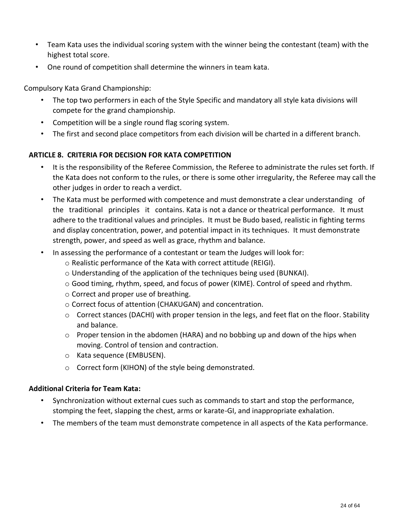- Team Kata uses the individual scoring system with the winner being the contestant (team) with the highest total score.
- One round of competition shall determine the winners in team kata.

Compulsory Kata Grand Championship:

- The top two performers in each of the Style Specific and mandatory all style kata divisions will compete for the grand championship.
- Competition will be a single round flag scoring system.
- The first and second place competitors from each division will be charted in a different branch.

#### **ARTICLE 8. CRITERIA FOR DECISION FOR KATA COMPETITION**

- It is the responsibility of the Referee Commission, the Referee to administrate the rules set forth. If the Kata does not conform to the rules, or there is some other irregularity, the Referee may call the other judges in order to reach a verdict.
- The Kata must be performed with competence and must demonstrate a clear understanding of the traditional principles it contains. Kata is not a dance or theatrical performance. It must adhere to the traditional values and principles. It must be Budo based, realistic in fighting terms and display concentration, power, and potential impact in its techniques. It must demonstrate strength, power, and speed as well as grace, rhythm and balance.
- In assessing the performance of a contestant or team the Judges will look for:
	- o Realistic performance of the Kata with correct attitude (REIGI).
	- o Understanding of the application of the techniques being used (BUNKAI).
	- o Good timing, rhythm, speed, and focus of power (KIME). Control of speed and rhythm.
	- o Correct and proper use of breathing.
	- o Correct focus of attention (CHAKUGAN) and concentration.
	- o Correct stances (DACHI) with proper tension in the legs, and feet flat on the floor. Stability and balance.
	- $\circ$  Proper tension in the abdomen (HARA) and no bobbing up and down of the hips when moving. Control of tension and contraction.
	- o Kata sequence (EMBUSEN).
	- o Correct form (KIHON) of the style being demonstrated.

#### **Additional Criteria for Team Kata:**

- Synchronization without external cues such as commands to start and stop the performance, stomping the feet, slapping the chest, arms or karate-GI, and inappropriate exhalation.
- The members of the team must demonstrate competence in all aspects of the Kata performance.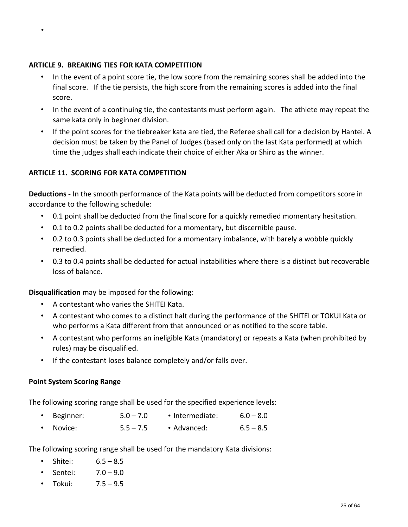#### **ARTICLE 9. BREAKING TIES FOR KATA COMPETITION**

•

- In the event of a point score tie, the low score from the remaining scores shall be added into the final score. If the tie persists, the high score from the remaining scores is added into the final score.
- In the event of a continuing tie, the contestants must perform again. The athlete may repeat the same kata only in beginner division.
- If the point scores for the tiebreaker kata are tied, the Referee shall call for a decision by Hantei. A decision must be taken by the Panel of Judges (based only on the last Kata performed) at which time the judges shall each indicate their choice of either Aka or Shiro as the winner.

### **ARTICLE 11. SCORING FOR KATA COMPETITION**

**Deductions -** In the smooth performance of the Kata points will be deducted from competitors score in accordance to the following schedule:

- 0.1 point shall be deducted from the final score for a quickly remedied momentary hesitation.
- 0.1 to 0.2 points shall be deducted for a momentary, but discernible pause.
- 0.2 to 0.3 points shall be deducted for a momentary imbalance, with barely a wobble quickly remedied.
- 0.3 to 0.4 points shall be deducted for actual instabilities where there is a distinct but recoverable loss of balance.

**Disqualification** may be imposed for the following:

- A contestant who varies the SHITEI Kata.
- A contestant who comes to a distinct halt during the performance of the SHITEI or TOKUI Kata or who performs a Kata different from that announced or as notified to the score table.
- A contestant who performs an ineligible Kata (mandatory) or repeats a Kata (when prohibited by rules) may be disqualified.
- If the contestant loses balance completely and/or falls over.

#### **Point System Scoring Range**

The following scoring range shall be used for the specified experience levels:

- Beginner:  $5.0 7.0$  Intermediate:  $6.0 8.0$
- Novice: 5.5 7.5 Advanced: 6.5 8.5

The following scoring range shall be used for the mandatory Kata divisions:

- Shitei: 6.5 8.5
- Sentei: 7.0 9.0
- Tokui: 7.5 9.5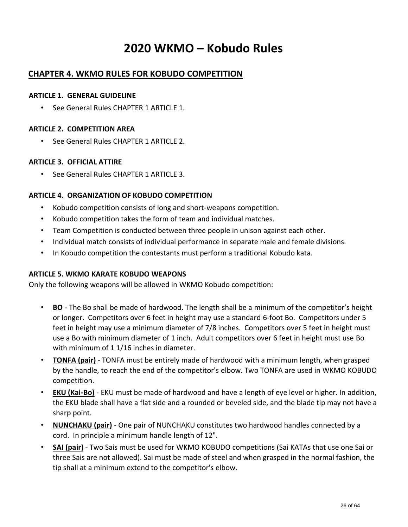## **2020 WKMO – Kobudo Rules**

## **CHAPTER 4. WKMO RULES FOR KOBUDO COMPETITION**

#### **ARTICLE 1. GENERAL GUIDELINE**

• See General Rules CHAPTER 1 ARTICLE 1.

#### **ARTICLE 2. COMPETITION AREA**

• See General Rules CHAPTER 1 ARTICLE 2.

#### **ARTICLE 3. OFFICIAL ATTIRE**

• See General Rules CHAPTER 1 ARTICLE 3.

#### **ARTICLE 4. ORGANIZATION OF KOBUDO COMPETITION**

- Kobudo competition consists of long and short-weapons competition.
- Kobudo competition takes the form of team and individual matches.
- Team Competition is conducted between three people in unison against each other.
- Individual match consists of individual performance in separate male and female divisions.
- In Kobudo competition the contestants must perform a traditional Kobudo kata.

#### **ARTICLE 5. WKMO KARATE KOBUDO WEAPONS**

Only the following weapons will be allowed in WKMO Kobudo competition:

- **BO** The Bo shall be made of hardwood. The length shall be a minimum of the competitor's height or longer. Competitors over 6 feet in height may use a standard 6-foot Bo. Competitors under 5 feet in height may use a minimum diameter of 7/8 inches. Competitors over 5 feet in height must use a Bo with minimum diameter of 1 inch. Adult competitors over 6 feet in height must use Bo with minimum of 11/16 inches in diameter.
- **TONFA (pair)** TONFA must be entirely made of hardwood with a minimum length, when grasped by the handle, to reach the end of the competitor's elbow. Two TONFA are used in WKMO KOBUDO competition.
- **EKU (Kai-Bo)** EKU must be made of hardwood and have a length of eye level or higher. In addition, the EKU blade shall have a flat side and a rounded or beveled side, and the blade tip may not have a sharp point.
- **NUNCHAKU (pair)** One pair of NUNCHAKU constitutes two hardwood handles connected by a cord. In principle a minimum handle length of 12".
- **SAI (pair)** Two Sais must be used for WKMO KOBUDO competitions (Sai KATAs that use one Sai or three Sais are not allowed). Sai must be made of steel and when grasped in the normal fashion, the tip shall at a minimum extend to the competitor's elbow.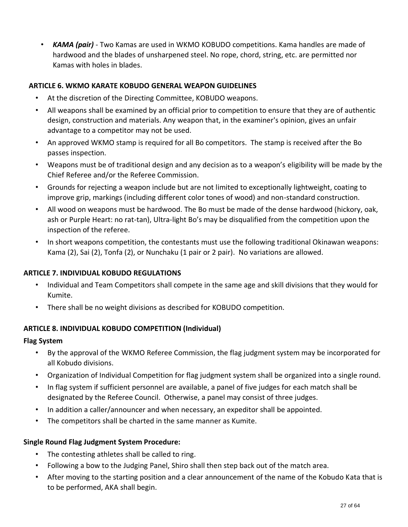• *KAMA (pair)* - Two Kamas are used in WKMO KOBUDO competitions. Kama handles are made of hardwood and the blades of unsharpened steel. No rope, chord, string, etc. are permitted nor Kamas with holes in blades.

#### **ARTICLE 6. WKMO KARATE KOBUDO GENERAL WEAPON GUIDELINES**

- At the discretion of the Directing Committee, KOBUDO weapons.
- All weapons shall be examined by an official prior to competition to ensure that they are of authentic design, construction and materials. Any weapon that, in the examiner's opinion, gives an unfair advantage to a competitor may not be used.
- An approved WKMO stamp is required for all Bo competitors. The stamp is received after the Bo passes inspection.
- Weapons must be of traditional design and any decision as to a weapon's eligibility will be made by the Chief Referee and/or the Referee Commission.
- Grounds for rejecting a weapon include but are not limited to exceptionally lightweight, coating to improve grip, markings (including different color tones of wood) and non-standard construction.
- All wood on weapons must be hardwood. The Bo must be made of the dense hardwood (hickory, oak, ash or Purple Heart: no rat-tan), Ultra-light Bo's may be disqualified from the competition upon the inspection of the referee.
- In short weapons competition, the contestants must use the following traditional Okinawan weapons: Kama (2), Sai (2), Tonfa (2), or Nunchaku (1 pair or 2 pair). No variations are allowed.

#### **ARTICLE 7. INDIVIDUAL KOBUDO REGULATIONS**

- Individual and Team Competitors shall compete in the same age and skill divisions that they would for Kumite.
- There shall be no weight divisions as described for KOBUDO competition.

## **ARTICLE 8. INDIVIDUAL KOBUDO COMPETITION (Individual)**

#### **Flag System**

- By the approval of the WKMO Referee Commission, the flag judgment system may be incorporated for all Kobudo divisions.
- Organization of Individual Competition for flag judgment system shall be organized into a single round.
- In flag system if sufficient personnel are available, a panel of five judges for each match shall be designated by the Referee Council. Otherwise, a panel may consist of three judges.
- In addition a caller/announcer and when necessary, an expeditor shall be appointed.
- The competitors shall be charted in the same manner as Kumite.

#### **Single Round Flag Judgment System Procedure:**

- The contesting athletes shall be called to ring.
- Following a bow to the Judging Panel, Shiro shall then step back out of the match area.
- After moving to the starting position and a clear announcement of the name of the Kobudo Kata that is to be performed, AKA shall begin.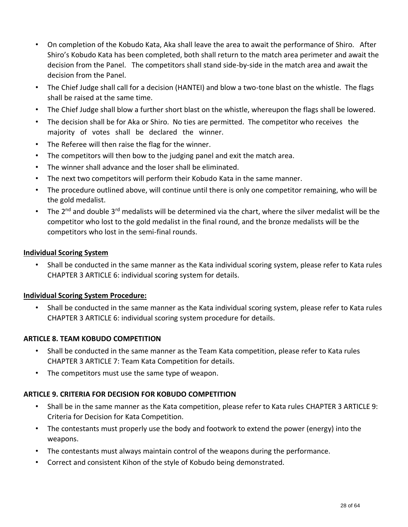- On completion of the Kobudo Kata, Aka shall leave the area to await the performance of Shiro. After Shiro's Kobudo Kata has been completed, both shall return to the match area perimeter and await the decision from the Panel. The competitors shall stand side-by-side in the match area and await the decision from the Panel.
- The Chief Judge shall call for a decision (HANTEI) and blow a two-tone blast on the whistle. The flags shall be raised at the same time.
- The Chief Judge shall blow a further short blast on the whistle, whereupon the flags shall be lowered.
- The decision shall be for Aka or Shiro. No ties are permitted. The competitor who receives the majority of votes shall be declared the winner.
- The Referee will then raise the flag for the winner.
- The competitors will then bow to the judging panel and exit the match area.
- The winner shall advance and the loser shall be eliminated.
- The next two competitors will perform their Kobudo Kata in the same manner.
- The procedure outlined above, will continue until there is only one competitor remaining, who will be the gold medalist.
- The 2<sup>nd</sup> and double 3<sup>rd</sup> medalists will be determined via the chart, where the silver medalist will be the competitor who lost to the gold medalist in the final round, and the bronze medalists will be the competitors who lost in the semi-final rounds.

#### **Individual Scoring System**

• Shall be conducted in the same manner as the Kata individual scoring system, please refer to Kata rules CHAPTER 3 ARTICLE 6: individual scoring system for details.

#### **Individual Scoring System Procedure:**

• Shall be conducted in the same manner as the Kata individual scoring system, please refer to Kata rules CHAPTER 3 ARTICLE 6: individual scoring system procedure for details.

#### **ARTICLE 8. TEAM KOBUDO COMPETITION**

- Shall be conducted in the same manner as the Team Kata competition, please refer to Kata rules CHAPTER 3 ARTICLE 7: Team Kata Competition for details.
- The competitors must use the same type of weapon.

## **ARTICLE 9. CRITERIA FOR DECISION FOR KOBUDO COMPETITION**

- Shall be in the same manner as the Kata competition, please refer to Kata rules CHAPTER 3 ARTICLE 9: Criteria for Decision for Kata Competition.
- The contestants must properly use the body and footwork to extend the power (energy) into the weapons.
- The contestants must always maintain control of the weapons during the performance.
- Correct and consistent Kihon of the style of Kobudo being demonstrated.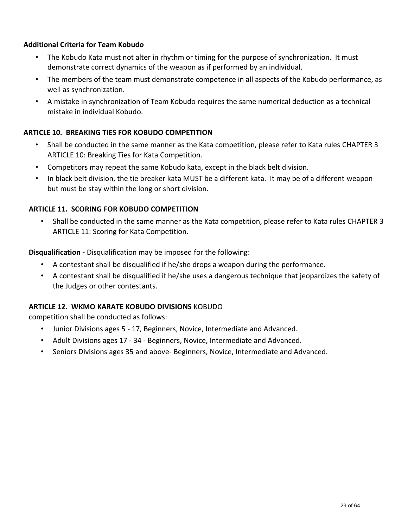#### **Additional Criteria for Team Kobudo**

- The Kobudo Kata must not alter in rhythm or timing for the purpose of synchronization. It must demonstrate correct dynamics of the weapon as if performed by an individual.
- The members of the team must demonstrate competence in all aspects of the Kobudo performance, as well as synchronization.
- A mistake in synchronization of Team Kobudo requires the same numerical deduction as a technical mistake in individual Kobudo.

#### **ARTICLE 10. BREAKING TIES FOR KOBUDO COMPETITION**

- Shall be conducted in the same manner as the Kata competition, please refer to Kata rules CHAPTER 3 ARTICLE 10: Breaking Ties for Kata Competition.
- Competitors may repeat the same Kobudo kata, except in the black belt division.
- In black belt division, the tie breaker kata MUST be a different kata. It may be of a different weapon but must be stay within the long or short division.

#### **ARTICLE 11. SCORING FOR KOBUDO COMPETITION**

• Shall be conducted in the same manner as the Kata competition, please refer to Kata rules CHAPTER 3 ARTICLE 11: Scoring for Kata Competition.

**Disqualification -** Disqualification may be imposed for the following:

- A contestant shall be disqualified if he/she drops a weapon during the performance.
- A contestant shall be disqualified if he/she uses a dangerous technique that jeopardizes the safety of the Judges or other contestants.

#### **ARTICLE 12. WKMO KARATE KOBUDO DIVISIONS** KOBUDO

competition shall be conducted as follows:

- Junior Divisions ages 5 17, Beginners, Novice, Intermediate and Advanced.
- Adult Divisions ages 17 34 Beginners, Novice, Intermediate and Advanced.
- Seniors Divisions ages 35 and above- Beginners, Novice, Intermediate and Advanced.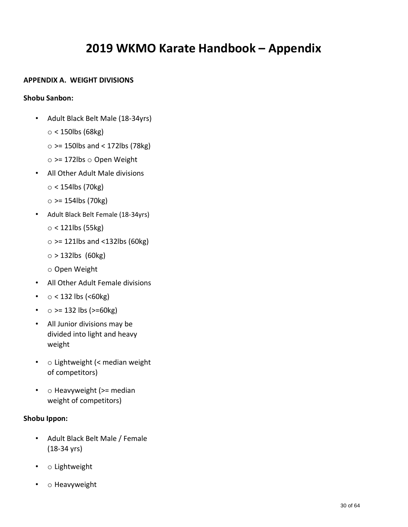## **2019 WKMO Karate Handbook – Appendix**

#### **APPENDIX A. WEIGHT DIVISIONS**

#### **Shobu Sanbon:**

- Adult Black Belt Male (18-34yrs)
	- $\circ$  < 150lbs (68kg)
	- $\circ$  >= 150lbs and < 172lbs (78kg)
	- $\circ$  >= 172lbs  $\circ$  Open Weight
- All Other Adult Male divisions
	- $\circ$  < 154lbs (70kg)
	- $\circ$  >= 154lbs (70kg)
- Adult Black Belt Female (18-34yrs)
	- $\circ$  < 121lbs (55kg)
	- $\circ$  >= 121lbs and <132lbs (60kg)
	- $\circ$  > 132lbs (60kg)
	- o Open Weight
- All Other Adult Female divisions
- $\circ$  < 132 lbs (<60kg)
- $\circ$  >= 132 lbs (>=60kg)
- All Junior divisions may be divided into light and heavy weight
- o Lightweight (< median weight of competitors)
- o Heavyweight (>= median weight of competitors)

#### **Shobu Ippon:**

- Adult Black Belt Male / Female (18-34 yrs)
- o Lightweight
- o Heavyweight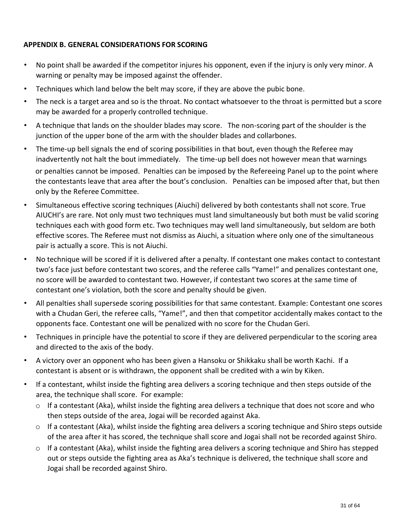#### **APPENDIX B. GENERAL CONSIDERATIONS FOR SCORING**

- No point shall be awarded if the competitor injures his opponent, even if the injury is only very minor. A warning or penalty may be imposed against the offender.
- Techniques which land below the belt may score, if they are above the pubic bone.
- The neck is a target area and so is the throat. No contact whatsoever to the throat is permitted but a score may be awarded for a properly controlled technique.
- A technique that lands on the shoulder blades may score. The non-scoring part of the shoulder is the junction of the upper bone of the arm with the shoulder blades and collarbones.
- The time-up bell signals the end of scoring possibilities in that bout, even though the Referee may inadvertently not halt the bout immediately. The time-up bell does not however mean that warnings or penalties cannot be imposed. Penalties can be imposed by the Refereeing Panel up to the point where the contestants leave that area after the bout's conclusion. Penalties can be imposed after that, but then only by the Referee Committee.
- Simultaneous effective scoring techniques (Aiuchi) delivered by both contestants shall not score. True AIUCHI's are rare. Not only must two techniques must land simultaneously but both must be valid scoring techniques each with good form etc. Two techniques may well land simultaneously, but seldom are both effective scores. The Referee must not dismiss as Aiuchi, a situation where only one of the simultaneous pair is actually a score. This is not Aiuchi.
- No technique will be scored if it is delivered after a penalty. If contestant one makes contact to contestant two's face just before contestant two scores, and the referee calls "Yame!" and penalizes contestant one, no score will be awarded to contestant two. However, if contestant two scores at the same time of contestant one's violation, both the score and penalty should be given.
- All penalties shall supersede scoring possibilities for that same contestant. Example: Contestant one scores with a Chudan Geri, the referee calls, "Yame!", and then that competitor accidentally makes contact to the opponents face. Contestant one will be penalized with no score for the Chudan Geri.
- Techniques in principle have the potential to score if they are delivered perpendicular to the scoring area and directed to the axis of the body.
- A victory over an opponent who has been given a Hansoku or Shikkaku shall be worth Kachi. If a contestant is absent or is withdrawn, the opponent shall be credited with a win by Kiken.
- If a contestant, whilst inside the fighting area delivers a scoring technique and then steps outside of the area, the technique shall score. For example:
	- o If a contestant (Aka), whilst inside the fighting area delivers a technique that does not score and who then steps outside of the area, Jogai will be recorded against Aka.
	- $\circ$  If a contestant (Aka), whilst inside the fighting area delivers a scoring technique and Shiro steps outside of the area after it has scored, the technique shall score and Jogai shall not be recorded against Shiro.
	- $\circ$  If a contestant (Aka), whilst inside the fighting area delivers a scoring technique and Shiro has stepped out or steps outside the fighting area as Aka's technique is delivered, the technique shall score and Jogai shall be recorded against Shiro.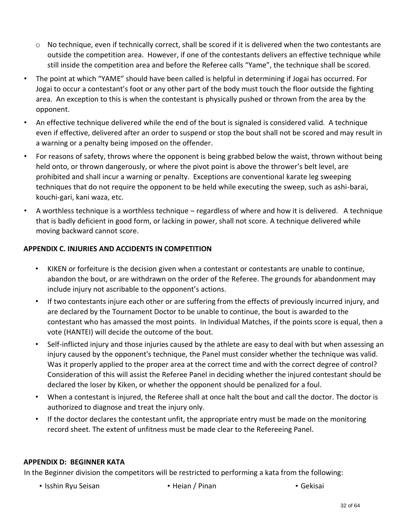- $\circ$  No technique, even if technically correct, shall be scored if it is delivered when the two contestants are outside the competition area. However, if one of the contestants delivers an effective technique while still inside the competition area and before the Referee calls "Yame", the technique shall be scored.
- The point at which "YAME" should have been called is helpful in determining if Jogai has occurred. For Jogai to occur a contestant's foot or any other part of the body must touch the floor outside the fighting area. An exception to this is when the contestant is physically pushed or thrown from the area by the opponent.
- An effective technique delivered while the end of the bout is signaled is considered valid. A technique even if effective, delivered after an order to suspend or stop the bout shall not be scored and may result in a warning or a penalty being imposed on the offender.
- For reasons of safety, throws where the opponent is being grabbed below the waist, thrown without being held onto, or thrown dangerously, or where the pivot point is above the thrower's belt level, are prohibited and shall incur a warning or penalty. Exceptions are conventional karate leg sweeping techniques that do not require the opponent to be held while executing the sweep, such as ashi-barai, kouchi-gari, kani waza, etc.
- A worthless technique is a worthless technique regardless of where and how it is delivered. A technique that is badly deficient in good form, or lacking in power, shall not score. A technique delivered while moving backward cannot score.

### **APPENDIX C. INJURIES AND ACCIDENTS IN COMPETITION**

- KIKEN or forfeiture is the decision given when a contestant or contestants are unable to continue, abandon the bout, or are withdrawn on the order of the Referee. The grounds for abandonment may include injury not ascribable to the opponent's actions.
- If two contestants injure each other or are suffering from the effects of previously incurred injury, and are declared by the Tournament Doctor to be unable to continue, the bout is awarded to the contestant who has amassed the most points. In Individual Matches, if the points score is equal, then a vote (HANTEI) will decide the outcome of the bout.
- Self-inflicted injury and those injuries caused by the athlete are easy to deal with but when assessing an injury caused by the opponent's technique, the Panel must consider whether the technique was valid. Was it properly applied to the proper area at the correct time and with the correct degree of control? Consideration of this will assist the Referee Panel in deciding whether the injured contestant should be declared the loser by Kiken, or whether the opponent should be penalized for a foul.
- When a contestant is injured, the Referee shall at once halt the bout and call the doctor. The doctor is authorized to diagnose and treat the injury only.
- If the doctor declares the contestant unfit, the appropriate entry must be made on the monitoring record sheet. The extent of unfitness must be made clear to the Refereeing Panel.

#### **APPENDIX D: BEGINNER KATA**

In the Beginner division the competitors will be restricted to performing a kata from the following:

- Isshin Ryu Seisan • Heian / Pinan • Gekisai
	-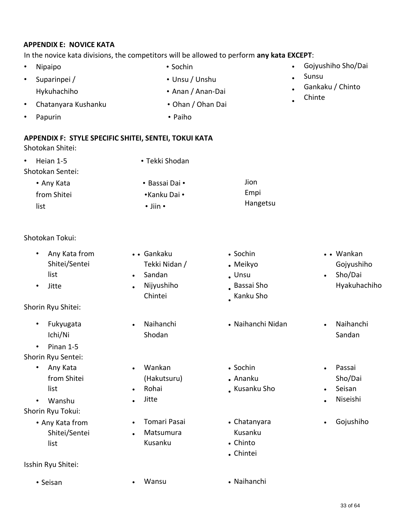#### **APPENDIX E: NOVICE KATA**

#### In the novice kata divisions, the competitors will be allowed to perform **any kata EXCEPT**:

- Nipaipo Sochin
- Suparinpei /  **Unsu / Unshu** Hykuhachiho • Anan / Anan-Dai
- Chatanyara Kushanku Ohan / Ohan Dai
	-
- Papurin Paiho
- 
- Gojyushiho Sho/Dai
- Sunsu
- Gankaku / Chinto
- Chinte

**APPENDIX F: STYLE SPECIFIC SHITEI, SENTEI, TOKUI KATA**

Shotokan Shitei:

| Heian 1-5<br>$\bullet$ | • Tekki Shodan       |          |
|------------------------|----------------------|----------|
| Shotokan Sentei:       |                      |          |
| • Any Kata             | • Bassai Dai •       | Jion     |
| from Shitei            | •Kanku Dai •         | Empi     |
| list                   | $\cdot$ Jiin $\cdot$ | Hangetsu |

• • Gankaku

- Shotokan Tokui:
	- Any Kata from Shitei/Sentei list
	- Jitte
- Shorin Ryu Shitei:
	- Fukyugata Ichi/Ni
- Pinan 1-5 Shorin Ryu Sentei:
	- Any Kata from Shitei list
- Wanshu Shorin Ryu Tokui:
	- Any Kata from Shitei/Sentei list
- Isshin Ryu Shitei:
	-
- Sandan • Tekki Nidan / Nijyushiho Chintei • Naihanchi Shodan • Wankan • • (Hakutsuru) Rohai Jitte
- Tomari Pasai
- Matsumura Kusanku
	-
- Sochin
- Meikyo
- Unsu
- Bassai Sho
- Kanku Sho
- Naihanchi Nidan Naihanchi
- Sochin
- Ananku
- Kusanku Sho
- Chatanyara Kusanku
- Chinto
- Chintei
- Seisan Wansu Wansu Naihanchi
- • Wankan Gojyushiho
- Sho/Dai Hyakuhachiho
- Sandan
- Passai Sho/Dai
- Seisan
- Niseishi
- Gojushiho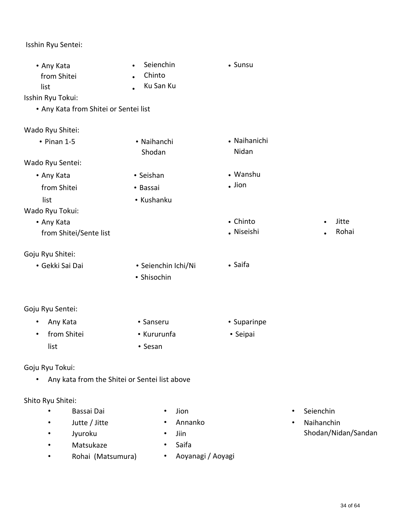## Isshin Ryu Sentei:

| • Any Kata<br>from Shitei<br>list     | Seienchin<br>$\bullet$<br>Chinto<br>$\bullet$<br>Ku San Ku | • Sunsu      |                         |
|---------------------------------------|------------------------------------------------------------|--------------|-------------------------|
| Isshin Ryu Tokui:                     |                                                            |              |                         |
| • Any Kata from Shitei or Sentei list |                                                            |              |                         |
|                                       |                                                            |              |                         |
| Wado Ryu Shitei:                      |                                                            |              |                         |
| $\cdot$ Pinan 1-5                     | • Naihanchi                                                | • Naihanichi |                         |
|                                       | Shodan                                                     | Nidan        |                         |
| Wado Ryu Sentei:                      |                                                            |              |                         |
| • Any Kata                            | • Seishan                                                  | • Wanshu     |                         |
| from Shitei                           | • Bassai                                                   | $.$ Jion     |                         |
| list                                  | • Kushanku                                                 |              |                         |
| Wado Ryu Tokui:                       |                                                            |              |                         |
| • Any Kata                            |                                                            | • Chinto     | Jitte                   |
| from Shitei/Sente list                |                                                            | • Niseishi   | Rohai                   |
|                                       |                                                            |              |                         |
| Goju Ryu Shitei:<br>• Gekki Sai Dai   |                                                            | • Saifa      |                         |
|                                       | · Seienchin Ichi/Ni<br>• Shisochin                         |              |                         |
|                                       |                                                            |              |                         |
|                                       |                                                            |              |                         |
| Goju Ryu Sentei:                      |                                                            |              |                         |
| Any Kata<br>٠                         | • Sanseru                                                  | • Suparinpe  |                         |
| from Shitei<br>$\bullet$              | • Kururunfa                                                | • Seipai     |                         |
| list                                  | • Sesan                                                    |              |                         |
|                                       |                                                            |              |                         |
| Goju Ryu Tokui:                       |                                                            |              |                         |
|                                       | Any kata from the Shitei or Sentei list above              |              |                         |
| Shito Ryu Shitei:                     |                                                            |              |                         |
| Bassai Dai                            | Jion                                                       |              | Seienchin<br>$\bullet$  |
| Jutte / Jitte                         | Annanko                                                    |              | Naihanchin<br>$\bullet$ |
| Jyuroku                               | Jiin                                                       |              | Shodan/Nidan/Sandan     |
| Matsukaze                             | Saifa                                                      |              |                         |

• Rohai (Matsumura) • Aoyanagi / Aoyagi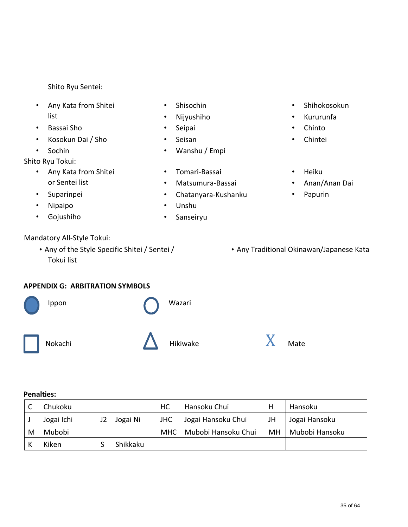- Any Kata from Shitei list
- Bassai Sho
- Kosokun Dai / Sho
- Sochin

Shito Ryu Tokui:

- Any Kata from Shitei or Sentei list
- Suparinpei
- Nipaipo
- Gojushiho

## Mandatory All-Style Tokui:

Tokui list

#### **APPENDIX G: ARBITRATION SYMBOLS**



#### **Penalties:**

|   | Chukoku    |          | HC         | Hansoku Chui        |    | Hansoku        |
|---|------------|----------|------------|---------------------|----|----------------|
|   | Jogai Ichi | Jogai Ni | <b>JHC</b> | Jogai Hansoku Chui  | JH | Jogai Hansoku  |
| M | Mubobi     |          | <b>MHC</b> | Mubobi Hansoku Chui | MH | Mubobi Hansoku |
|   | Kiken      | Shikkaku |            |                     |    |                |

- Shisochin
- Nijyushiho
- Seipai
- Seisan
- Wanshu / Empi
- Tomari-Bassai
- Matsumura-Bassai
- Chatanyara-Kushanku
- Unshu
- Sanseiryu
- Shihokosokun
- Kururunfa
- Chinto
- Chintei
- Heiku
- Anan/Anan Dai
- Papurin
- Any of the Style Specific Shitei / Sentei / **Any Traditional Okinawan/Japanese Kata**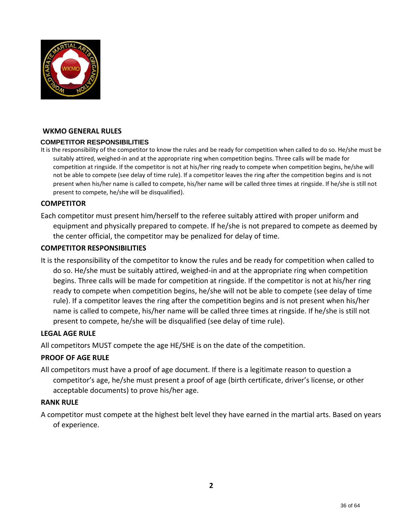

#### **WKMO GENERAL RULES**

#### **COMPETITOR RESPONSIBILITIES**

It is the responsibility of the competitor to know the rules and be ready for competition when called to do so. He/she must be suitably attired, weighed-in and at the appropriate ring when competition begins. Three calls will be made for competition at ringside. If the competitor is not at his/her ring ready to compete when competition begins, he/she will not be able to compete (see delay of time rule). If a competitor leaves the ring after the competition begins and is not present when his/her name is called to compete, his/her name will be called three times at ringside. If he/she is still not present to compete, he/she will be disqualified).

#### **COMPETITOR**

Each competitor must present him/herself to the referee suitably attired with proper uniform and equipment and physically prepared to compete. If he/she is not prepared to compete as deemed by the center official, the competitor may be penalized for delay of time.

#### **COMPETITOR RESPONSIBILITIES**

It is the responsibility of the competitor to know the rules and be ready for competition when called to do so. He/she must be suitably attired, weighed-in and at the appropriate ring when competition begins. Three calls will be made for competition at ringside. If the competitor is not at his/her ring ready to compete when competition begins, he/she will not be able to compete (see delay of time rule). If a competitor leaves the ring after the competition begins and is not present when his/her name is called to compete, his/her name will be called three times at ringside. If he/she is still not present to compete, he/she will be disqualified (see delay of time rule).

#### **LEGAL AGE RULE**

All competitors MUST compete the age HE/SHE is on the date of the competition.

#### **PROOF OF AGE RULE**

All competitors must have a proof of age document. If there is a legitimate reason to question a competitor's age, he/she must present a proof of age (birth certificate, driver's license, or other acceptable documents) to prove his/her age.

#### **RANK RULE**

A competitor must compete at the highest belt level they have earned in the martial arts. Based on years of experience.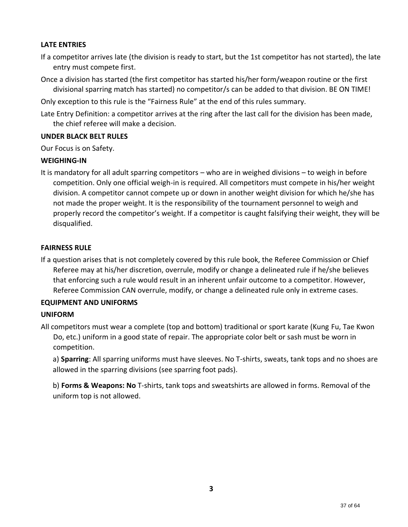#### **LATE ENTRIES**

- If a competitor arrives late (the division is ready to start, but the 1st competitor has not started), the late entry must compete first.
- Once a division has started (the first competitor has started his/her form/weapon routine or the first divisional sparring match has started) no competitor/s can be added to that division. BE ON TIME!

Only exception to this rule is the "Fairness Rule" at the end of this rules summary.

Late Entry Definition: a competitor arrives at the ring after the last call for the division has been made, the chief referee will make a decision.

#### **UNDER BLACK BELT RULES**

Our Focus is on Safety.

#### **WEIGHING-IN**

It is mandatory for all adult sparring competitors – who are in weighed divisions – to weigh in before competition. Only one official weigh-in is required. All competitors must compete in his/her weight division. A competitor cannot compete up or down in another weight division for which he/she has not made the proper weight. It is the responsibility of the tournament personnel to weigh and properly record the competitor's weight. If a competitor is caught falsifying their weight, they will be disqualified.

#### **FAIRNESS RULE**

If a question arises that is not completely covered by this rule book, the Referee Commission or Chief Referee may at his/her discretion, overrule, modify or change a delineated rule if he/she believes that enforcing such a rule would result in an inherent unfair outcome to a competitor. However, Referee Commission CAN overrule, modify, or change a delineated rule only in extreme cases.

#### **EQUIPMENT AND UNIFORMS**

#### **UNIFORM**

All competitors must wear a complete (top and bottom) traditional or sport karate (Kung Fu, Tae Kwon Do, etc.) uniform in a good state of repair. The appropriate color belt or sash must be worn in competition.

a) **Sparring**: All sparring uniforms must have sleeves. No T-shirts, sweats, tank tops and no shoes are allowed in the sparring divisions (see sparring foot pads).

b) **Forms & Weapons: No** T-shirts, tank tops and sweatshirts are allowed in forms. Removal of the uniform top is not allowed.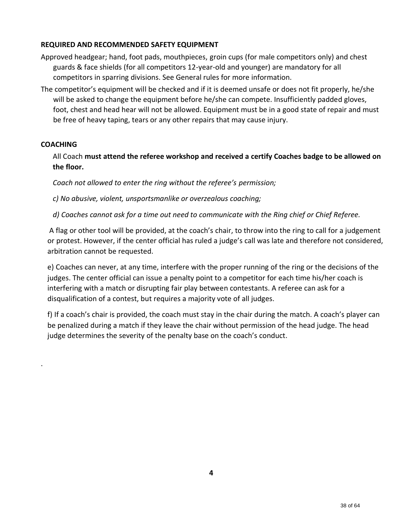#### **REQUIRED AND RECOMMENDED SAFETY EQUIPMENT**

- Approved headgear; hand, foot pads, mouthpieces, groin cups (for male competitors only) and chest guards & face shields (for all competitors 12-year-old and younger) are mandatory for all competitors in sparring divisions. See General rules for more information.
- The competitor's equipment will be checked and if it is deemed unsafe or does not fit properly, he/she will be asked to change the equipment before he/she can compete. Insufficiently padded gloves, foot, chest and head hear will not be allowed. Equipment must be in a good state of repair and must be free of heavy taping, tears or any other repairs that may cause injury.

#### **COACHING**

.

All Coach **must attend the referee workshop and received a certify Coaches badge to be allowed on the floor.** 

*Coach not allowed to enter the ring without the referee's permission;* 

*c) No abusive, violent, unsportsmanlike or overzealous coaching;* 

*d) Coaches cannot ask for a time out need to communicate with the Ring chief or Chief Referee.*

A flag or other tool will be provided, at the coach's chair, to throw into the ring to call for a judgement or protest. However, if the center official has ruled a judge's call was late and therefore not considered, arbitration cannot be requested.

e) Coaches can never, at any time, interfere with the proper running of the ring or the decisions of the judges. The center official can issue a penalty point to a competitor for each time his/her coach is interfering with a match or disrupting fair play between contestants. A referee can ask for a disqualification of a contest, but requires a majority vote of all judges.

f) If a coach's chair is provided, the coach must stay in the chair during the match. A coach's player can be penalized during a match if they leave the chair without permission of the head judge. The head judge determines the severity of the penalty base on the coach's conduct.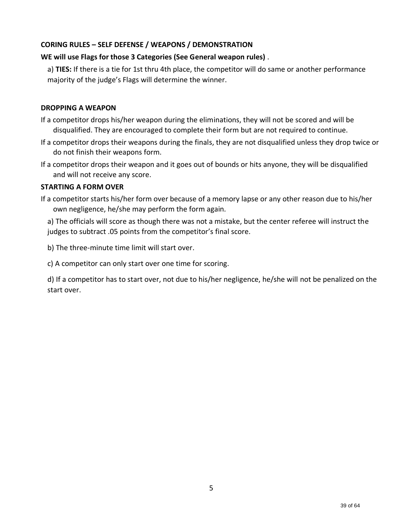#### **CORING RULES – SELF DEFENSE / WEAPONS / DEMONSTRATION**

#### **WE will use Flags for those 3 Categories (See General weapon rules)** .

a) **TIES:** If there is a tie for 1st thru 4th place, the competitor will do same or another performance majority of the judge's Flags will determine the winner.

#### **DROPPING A WEAPON**

- If a competitor drops his/her weapon during the eliminations, they will not be scored and will be disqualified. They are encouraged to complete their form but are not required to continue.
- If a competitor drops their weapons during the finals, they are not disqualified unless they drop twice or do not finish their weapons form.
- If a competitor drops their weapon and it goes out of bounds or hits anyone, they will be disqualified and will not receive any score.

#### **STARTING A FORM OVER**

If a competitor starts his/her form over because of a memory lapse or any other reason due to his/her own negligence, he/she may perform the form again.

a) The officials will score as though there was not a mistake, but the center referee will instruct the judges to subtract .05 points from the competitor's final score.

b) The three-minute time limit will start over.

c) A competitor can only start over one time for scoring.

d) If a competitor has to start over, not due to his/her negligence, he/she will not be penalized on the start over.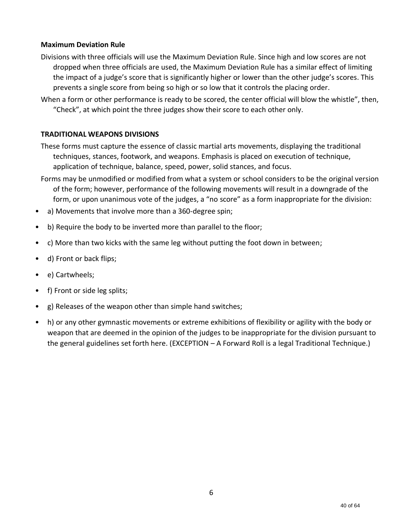#### **Maximum Deviation Rule**

- Divisions with three officials will use the Maximum Deviation Rule. Since high and low scores are not dropped when three officials are used, the Maximum Deviation Rule has a similar effect of limiting the impact of a judge's score that is significantly higher or lower than the other judge's scores. This prevents a single score from being so high or so low that it controls the placing order.
- When a form or other performance is ready to be scored, the center official will blow the whistle", then, "Check", at which point the three judges show their score to each other only.

#### **TRADITIONAL WEAPONS DIVISIONS**

These forms must capture the essence of classic martial arts movements, displaying the traditional techniques, stances, footwork, and weapons. Emphasis is placed on execution of technique, application of technique, balance, speed, power, solid stances, and focus.

- Forms may be unmodified or modified from what a system or school considers to be the original version of the form; however, performance of the following movements will result in a downgrade of the form, or upon unanimous vote of the judges, a "no score" as a form inappropriate for the division:
- a) Movements that involve more than a 360-degree spin;
- b) Require the body to be inverted more than parallel to the floor;
- c) More than two kicks with the same leg without putting the foot down in between;
- d) Front or back flips;
- e) Cartwheels;
- f) Front or side leg splits;
- g) Releases of the weapon other than simple hand switches;
- h) or any other gymnastic movements or extreme exhibitions of flexibility or agility with the body or weapon that are deemed in the opinion of the judges to be inappropriate for the division pursuant to the general guidelines set forth here. (EXCEPTION – A Forward Roll is a legal Traditional Technique.)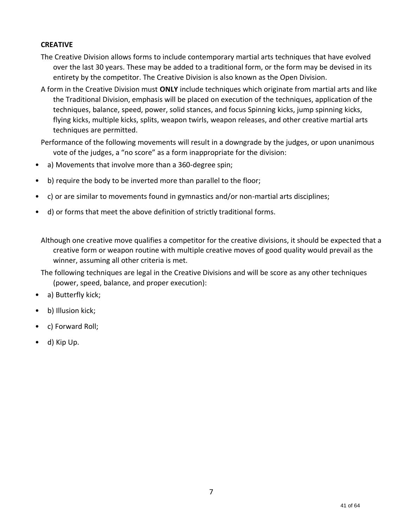#### **CREATIVE**

- The Creative Division allows forms to include contemporary martial arts techniques that have evolved over the last 30 years. These may be added to a traditional form, or the form may be devised in its entirety by the competitor. The Creative Division is also known as the Open Division.
- A form in the Creative Division must **ONLY** include techniques which originate from martial arts and like the Traditional Division, emphasis will be placed on execution of the techniques, application of the techniques, balance, speed, power, solid stances, and focus Spinning kicks, jump spinning kicks, flying kicks, multiple kicks, splits, weapon twirls, weapon releases, and other creative martial arts techniques are permitted.

Performance of the following movements will result in a downgrade by the judges, or upon unanimous vote of the judges, a "no score" as a form inappropriate for the division:

- a) Movements that involve more than a 360-degree spin;
- b) require the body to be inverted more than parallel to the floor;
- c) or are similar to movements found in gymnastics and/or non-martial arts disciplines;
- d) or forms that meet the above definition of strictly traditional forms.

Although one creative move qualifies a competitor for the creative divisions, it should be expected that a creative form or weapon routine with multiple creative moves of good quality would prevail as the winner, assuming all other criteria is met.

- The following techniques are legal in the Creative Divisions and will be score as any other techniques (power, speed, balance, and proper execution):
- a) Butterfly kick;
- b) Illusion kick;
- c) Forward Roll;
- d) Kip Up.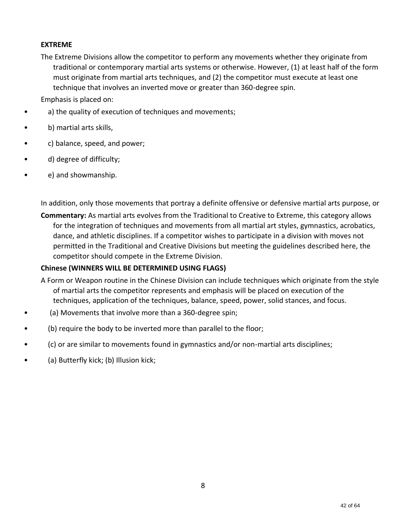#### **EXTREME**

The Extreme Divisions allow the competitor to perform any movements whether they originate from traditional or contemporary martial arts systems or otherwise. However, (1) at least half of the form must originate from martial arts techniques, and (2) the competitor must execute at least one technique that involves an inverted move or greater than 360-degree spin.

Emphasis is placed on:

- a) the quality of execution of techniques and movements;
- b) martial arts skills,
- c) balance, speed, and power;
- d) degree of difficulty;
- e) and showmanship.

In addition, only those movements that portray a definite offensive or defensive martial arts purpose, or

**Commentary:** As martial arts evolves from the Traditional to Creative to Extreme, this category allows for the integration of techniques and movements from all martial art styles, gymnastics, acrobatics, dance, and athletic disciplines. If a competitor wishes to participate in a division with moves not permitted in the Traditional and Creative Divisions but meeting the guidelines described here, the competitor should compete in the Extreme Division.

#### **Chinese (WINNERS WILL BE DETERMINED USING FLAGS)**

- A Form or Weapon routine in the Chinese Division can include techniques which originate from the style of martial arts the competitor represents and emphasis will be placed on execution of the techniques, application of the techniques, balance, speed, power, solid stances, and focus.
- (a) Movements that involve more than a 360-degree spin;
- (b) require the body to be inverted more than parallel to the floor;
- (c) or are similar to movements found in gymnastics and/or non-martial arts disciplines;
- (a) Butterfly kick; (b) Illusion kick;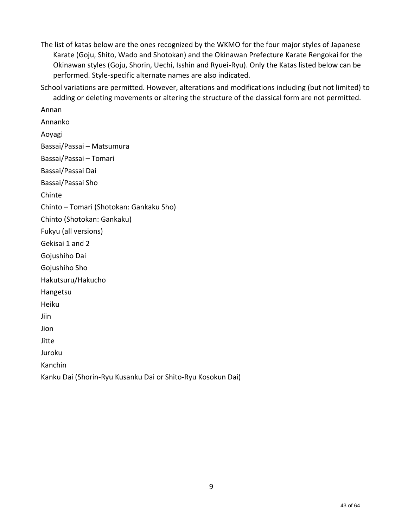The list of katas below are the ones recognized by the WKMO for the four major styles of Japanese Karate (Goju, Shito, Wado and Shotokan) and the Okinawan Prefecture Karate Rengokai for the Okinawan styles (Goju, Shorin, Uechi, Isshin and Ryuei-Ryu). Only the Katas listed below can be performed. Style-specific alternate names are also indicated.

School variations are permitted. However, alterations and modifications including (but not limited) to adding or deleting movements or altering the structure of the classical form are not permitted.

Annan Annanko Aoyagi Bassai/Passai – Matsumura Bassai/Passai – Tomari Bassai/Passai Dai Bassai/Passai Sho Chinte Chinto – Tomari (Shotokan: Gankaku Sho) Chinto (Shotokan: Gankaku) Fukyu (all versions) Gekisai 1 and 2 Gojushiho Dai Gojushiho Sho Hakutsuru/Hakucho Hangetsu Heiku Jiin Jion Jitte Juroku Kanchin Kanku Dai (Shorin-Ryu Kusanku Dai or Shito-Ryu Kosokun Dai)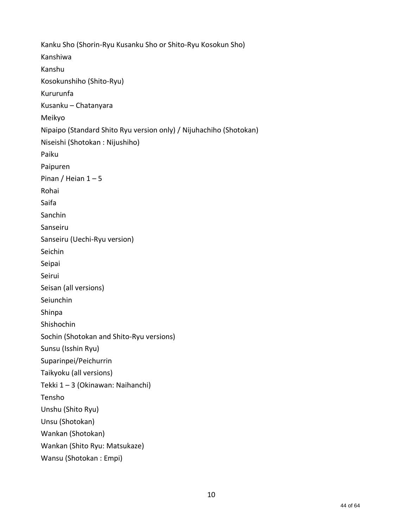Kanku Sho (Shorin-Ryu Kusanku Sho or Shito-Ryu Kosokun Sho) Kanshiwa Kanshu Kosokunshiho (Shito-Ryu) Kururunfa Kusanku – Chatanyara Meikyo Nipaipo (Standard Shito Ryu version only) / Nijuhachiho (Shotokan) Niseishi (Shotokan : Nijushiho) Paiku Paipuren Pinan / Heian  $1 - 5$ Rohai Saifa Sanchin Sanseiru Sanseiru (Uechi-Ryu version) Seichin Seipai Seirui Seisan (all versions) Seiunchin Shinpa Shishochin Sochin (Shotokan and Shito-Ryu versions) Sunsu (Isshin Ryu) Suparinpei/Peichurrin Taikyoku (all versions) Tekki 1 – 3 (Okinawan: Naihanchi) Tensho Unshu (Shito Ryu) Unsu (Shotokan) Wankan (Shotokan) Wankan (Shito Ryu: Matsukaze) Wansu (Shotokan : Empi)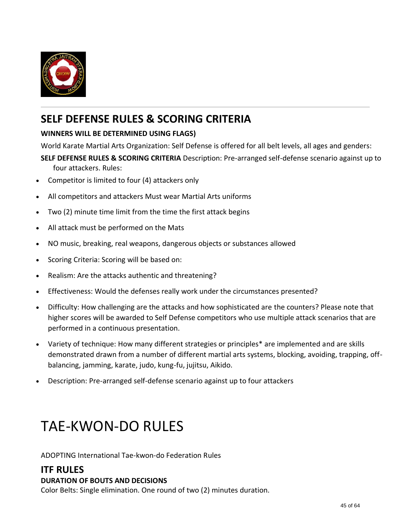

## **SELF DEFENSE RULES & SCORING CRITERIA**

## **WINNERS WILL BE DETERMINED USING FLAGS)**

World Karate Martial Arts Organization: Self Defense is offered for all belt levels, all ages and genders:

- **SELF DEFENSE RULES & SCORING CRITERIA** Description: Pre-arranged self-defense scenario against up to four attackers. Rules:
- Competitor is limited to four (4) attackers only
- All competitors and attackers Must wear Martial Arts uniforms
- Two (2) minute time limit from the time the first attack begins
- All attack must be performed on the Mats
- NO music, breaking, real weapons, dangerous objects or substances allowed
- Scoring Criteria: Scoring will be based on:
- Realism: Are the attacks authentic and threatening?
- Effectiveness: Would the defenses really work under the circumstances presented?
- Difficulty: How challenging are the attacks and how sophisticated are the counters? Please note that higher scores will be awarded to Self Defense competitors who use multiple attack scenarios that are performed in a continuous presentation.
- Variety of technique: How many different strategies or principles\* are implemented and are skills demonstrated drawn from a number of different martial arts systems, blocking, avoiding, trapping, offbalancing, jamming, karate, judo, kung-fu, jujitsu, Aikido.
- Description: Pre-arranged self-defense scenario against up to four attackers

# TAE-KWON-DO RULES

ADOPTING International Tae-kwon-do Federation Rules

## **ITF RULES**

#### **DURATION OF BOUTS AND DECISIONS**

Color Belts: Single elimination. One round of two (2) minutes duration.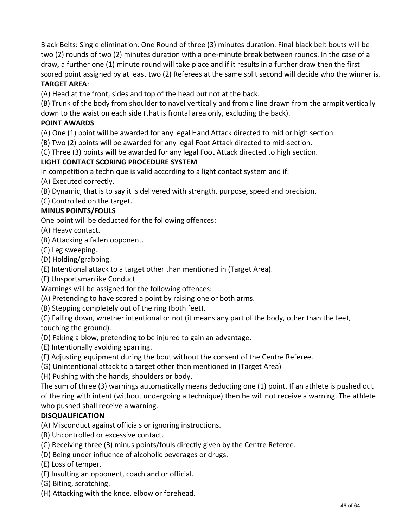Black Belts: Single elimination. One Round of three (3) minutes duration. Final black belt bouts will be two (2) rounds of two (2) minutes duration with a one-minute break between rounds. In the case of a draw, a further one (1) minute round will take place and if it results in a further draw then the first scored point assigned by at least two (2) Referees at the same split second will decide who the winner is.

#### **TARGET AREA**:

(A) Head at the front, sides and top of the head but not at the back.

(B) Trunk of the body from shoulder to navel vertically and from a line drawn from the armpit vertically down to the waist on each side (that is frontal area only, excluding the back).

#### **POINT AWARDS**

(A) One (1) point will be awarded for any legal Hand Attack directed to mid or high section.

(B) Two (2) points will be awarded for any legal Foot Attack directed to mid-section.

(C) Three (3) points will be awarded for any legal Foot Attack directed to high section.

### **LIGHT CONTACT SCORING PROCEDURE SYSTEM**

In competition a technique is valid according to a light contact system and if:

(A) Executed correctly.

(B) Dynamic, that is to say it is delivered with strength, purpose, speed and precision.

(C) Controlled on the target.

#### **MINUS POINTS/FOULS**

One point will be deducted for the following offences:

(A) Heavy contact.

- (B) Attacking a fallen opponent.
- (C) Leg sweeping.

(D) Holding/grabbing.

(E) Intentional attack to a target other than mentioned in (Target Area).

(F) Unsportsmanlike Conduct.

Warnings will be assigned for the following offences:

(A) Pretending to have scored a point by raising one or both arms.

(B) Stepping completely out of the ring (both feet).

(C) Falling down, whether intentional or not (it means any part of the body, other than the feet,

touching the ground).

(D) Faking a blow, pretending to be injured to gain an advantage.

(E) Intentionally avoiding sparring.

(F) Adjusting equipment during the bout without the consent of the Centre Referee.

(G) Unintentional attack to a target other than mentioned in (Target Area)

(H) Pushing with the hands, shoulders or body.

The sum of three (3) warnings automatically means deducting one (1) point. If an athlete is pushed out of the ring with intent (without undergoing a technique) then he will not receive a warning. The athlete who pushed shall receive a warning.

## **DISQUALIFICATION**

(A) Misconduct against officials or ignoring instructions.

(B) Uncontrolled or excessive contact.

- (C) Receiving three (3) minus points/fouls directly given by the Centre Referee.
- (D) Being under influence of alcoholic beverages or drugs.

(E) Loss of temper.

- (F) Insulting an opponent, coach and or official.
- (G) Biting, scratching.
- (H) Attacking with the knee, elbow or forehead.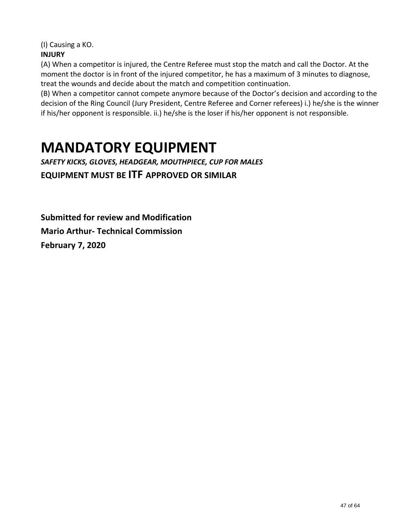(I) Causing a KO.

## **INJURY**

(A) When a competitor is injured, the Centre Referee must stop the match and call the Doctor. At the moment the doctor is in front of the injured competitor, he has a maximum of 3 minutes to diagnose, treat the wounds and decide about the match and competition continuation.

(B) When a competitor cannot compete anymore because of the Doctor's decision and according to the decision of the Ring Council (Jury President, Centre Referee and Corner referees) i.) he/she is the winner if his/her opponent is responsible. ii.) he/she is the loser if his/her opponent is not responsible.

# **MANDATORY EQUIPMENT**

*SAFETY KICKS, GLOVES, HEADGEAR, MOUTHPIECE, CUP FOR MALES* **EQUIPMENT MUST BE ITF APPROVED OR SIMILAR**

**Submitted for review and Modification Mario Arthur- Technical Commission February 7, 2020**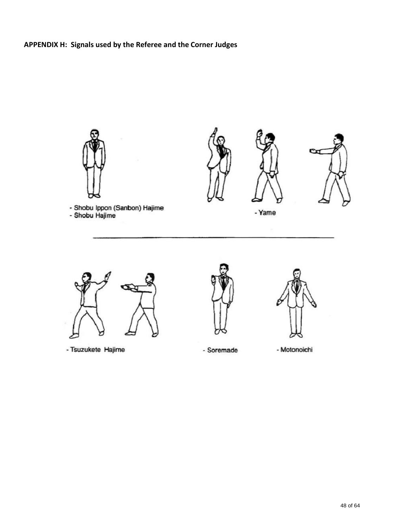## **APPENDIX H: Signals used by the Referee and the Corner Judges**









- Yame



- Tsuzukete Hajime





- Soremade

- Motonoichi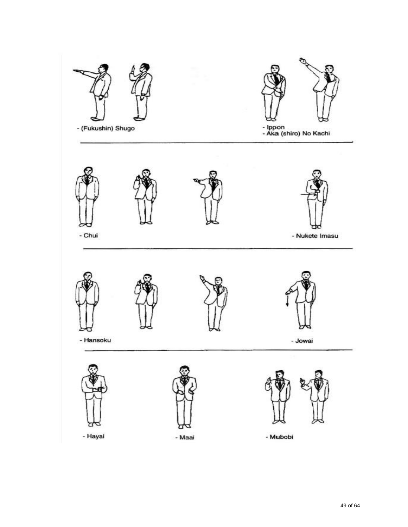

of 64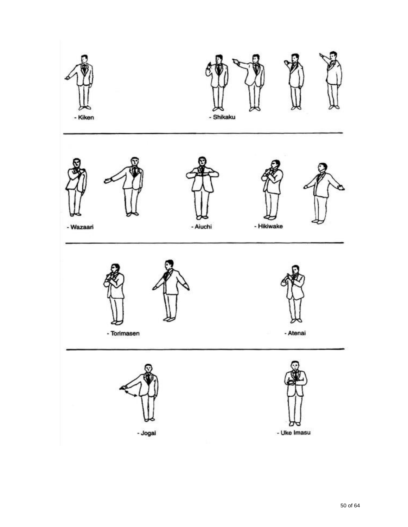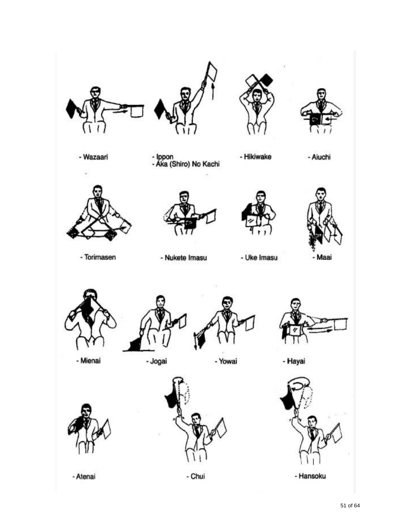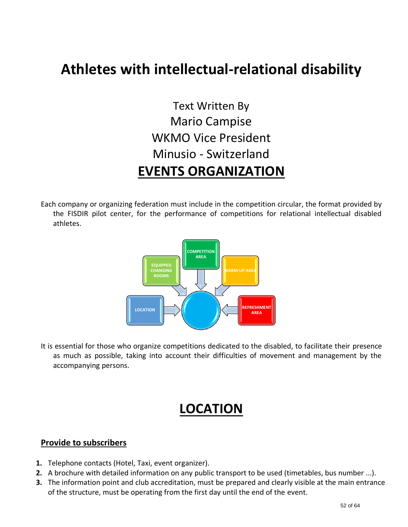## **Athletes with intellectual-relational disability**

## Text Written By Mario Campise WKMO Vice President Minusio - Switzerland **EVENTS ORGANIZATION**

Each company or organizing federation must include in the competition circular, the format provided by the FISDIR pilot center, for the performance of competitions for relational intellectual disabled athletes.



It is essential for those who organize competitions dedicated to the disabled, to facilitate their presence as much as possible, taking into account their difficulties of movement and management by the accompanying persons.

## **LOCATION**

## **Provide to subscribers**

- **1.** Telephone contacts (Hotel, Taxi, event organizer).
- **2.** A brochure with detailed information on any public transport to be used (timetables, bus number ...).
- **3.** The information point and club accreditation, must be prepared and clearly visible at the main entrance of the structure, must be operating from the first day until the end of the event.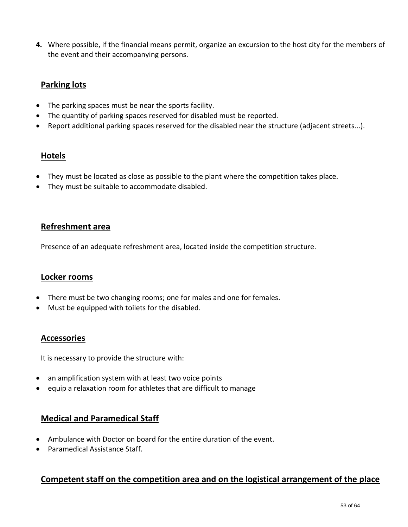**4.** Where possible, if the financial means permit, organize an excursion to the host city for the members of the event and their accompanying persons.

## **Parking lots**

- The parking spaces must be near the sports facility.
- The quantity of parking spaces reserved for disabled must be reported.
- Report additional parking spaces reserved for the disabled near the structure (adjacent streets...).

#### **Hotels**

- They must be located as close as possible to the plant where the competition takes place.
- They must be suitable to accommodate disabled.

#### **Refreshment area**

Presence of an adequate refreshment area, located inside the competition structure.

#### **Locker rooms**

- There must be two changing rooms; one for males and one for females.
- Must be equipped with toilets for the disabled.

#### **Accessories**

It is necessary to provide the structure with:

- an amplification system with at least two voice points
- equip a relaxation room for athletes that are difficult to manage

## **Medical and Paramedical Staff**

- Ambulance with Doctor on board for the entire duration of the event.
- Paramedical Assistance Staff.

## **Competent staff on the competition area and on the logistical arrangement of the place**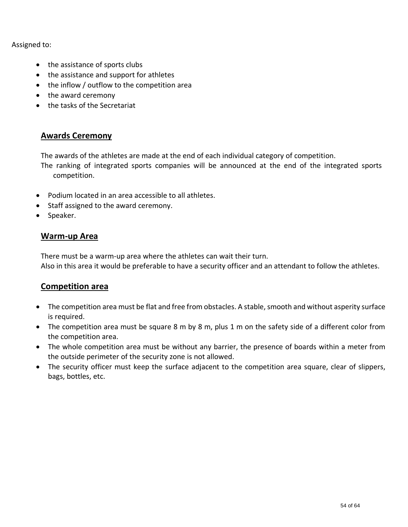Assigned to:

- the assistance of sports clubs
- the assistance and support for athletes
- the inflow / outflow to the competition area
- the award ceremony
- the tasks of the Secretariat

## **Awards Ceremony**

The awards of the athletes are made at the end of each individual category of competition.

The ranking of integrated sports companies will be announced at the end of the integrated sports competition.

- Podium located in an area accessible to all athletes.
- Staff assigned to the award ceremony.
- Speaker.

#### **Warm-up Area**

There must be a warm-up area where the athletes can wait their turn. Also in this area it would be preferable to have a security officer and an attendant to follow the athletes.

## **Competition area**

- The competition area must be flat and free from obstacles. A stable, smooth and without asperity surface is required.
- The competition area must be square 8 m by 8 m, plus 1 m on the safety side of a different color from the competition area.
- The whole competition area must be without any barrier, the presence of boards within a meter from the outside perimeter of the security zone is not allowed.
- The security officer must keep the surface adjacent to the competition area square, clear of slippers, bags, bottles, etc.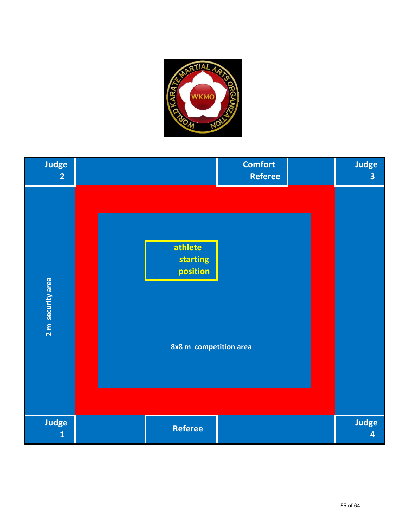

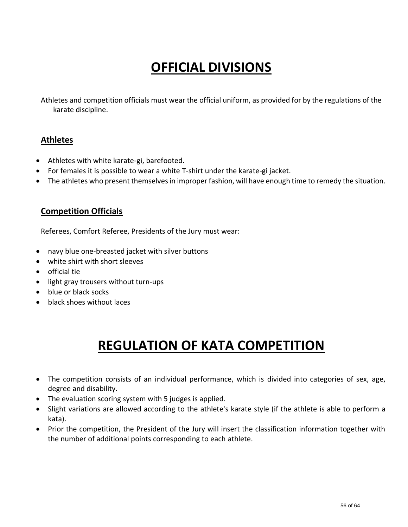# **OFFICIAL DIVISIONS**

Athletes and competition officials must wear the official uniform, as provided for by the regulations of the karate discipline.

## **Athletes**

- Athletes with white karate-gi, barefooted.
- For females it is possible to wear a white T-shirt under the karate-gi jacket.
- The athletes who present themselves in improper fashion, will have enough time to remedy the situation.

## **Competition Officials**

Referees, Comfort Referee, Presidents of the Jury must wear:

- navy blue one-breasted jacket with silver buttons
- white shirt with short sleeves
- official tie
- light gray trousers without turn-ups
- blue or black socks
- black shoes without laces

## **REGULATION OF KATA COMPETITION**

- The competition consists of an individual performance, which is divided into categories of sex, age, degree and disability.
- The evaluation scoring system with 5 judges is applied.
- Slight variations are allowed according to the athlete's karate style (if the athlete is able to perform a kata).
- Prior the competition, the President of the Jury will insert the classification information together with the number of additional points corresponding to each athlete.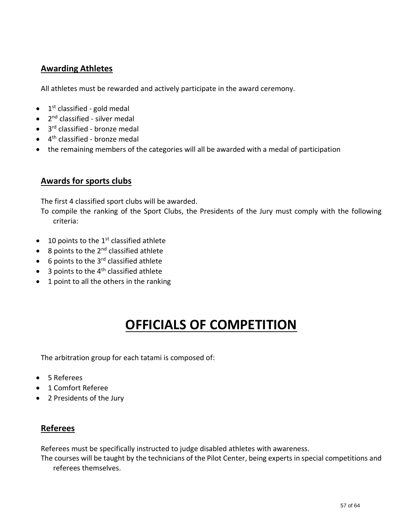## **Awarding Athletes**

All athletes must be rewarded and actively participate in the award ceremony.

- 1<sup>st</sup> classified gold medal
- 2<sup>nd</sup> classified silver medal
- 3<sup>rd</sup> classified bronze medal
- 4<sup>th</sup> classified bronze medal
- the remaining members of the categories will all be awarded with a medal of participation

### **Awards for sports clubs**

The first 4 classified sport clubs will be awarded.

To compile the ranking of the Sport Clubs, the Presidents of the Jury must comply with the following criteria:

- $\bullet$  10 points to the 1<sup>st</sup> classified athlete
- $\bullet$  8 points to the 2<sup>nd</sup> classified athlete
- $\bullet$  6 points to the 3<sup>rd</sup> classified athlete
- $\bullet$  3 points to the 4<sup>th</sup> classified athlete
- 1 point to all the others in the ranking

## **OFFICIALS OF COMPETITION**

The arbitration group for each tatami is composed of:

- 5 Referees
- 1 Comfort Referee
- 2 Presidents of the Jury

## **Referees**

Referees must be specifically instructed to judge disabled athletes with awareness.

The courses will be taught by the technicians of the Pilot Center, being experts in special competitions and referees themselves.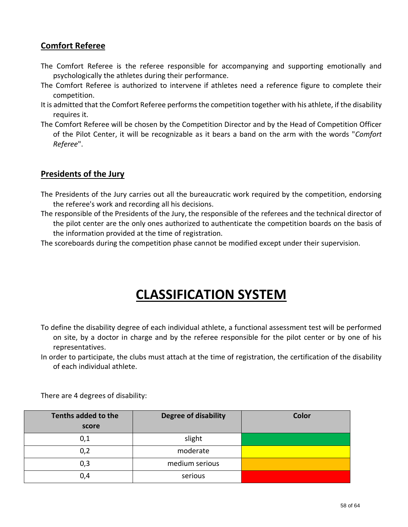## **Comfort Referee**

- The Comfort Referee is the referee responsible for accompanying and supporting emotionally and psychologically the athletes during their performance.
- The Comfort Referee is authorized to intervene if athletes need a reference figure to complete their competition.
- It is admitted that the Comfort Referee performs the competition together with his athlete, if the disability requires it.
- The Comfort Referee will be chosen by the Competition Director and by the Head of Competition Officer of the Pilot Center, it will be recognizable as it bears a band on the arm with the words "*Comfort Referee*".

## **Presidents of the Jury**

- The Presidents of the Jury carries out all the bureaucratic work required by the competition, endorsing the referee's work and recording all his decisions.
- The responsible of the Presidents of the Jury, the responsible of the referees and the technical director of the pilot center are the only ones authorized to authenticate the competition boards on the basis of the information provided at the time of registration.

The scoreboards during the competition phase cannot be modified except under their supervision.

## **CLASSIFICATION SYSTEM**

- To define the disability degree of each individual athlete, a functional assessment test will be performed on site, by a doctor in charge and by the referee responsible for the pilot center or by one of his representatives.
- In order to participate, the clubs must attach at the time of registration, the certification of the disability of each individual athlete.

| Tenths added to the<br>score | <b>Degree of disability</b> | Color |
|------------------------------|-----------------------------|-------|
| 0,1                          | slight                      |       |
| 0,2                          | moderate                    |       |
| 0,3                          | medium serious              |       |
| 0,4                          | serious                     |       |

There are 4 degrees of disability: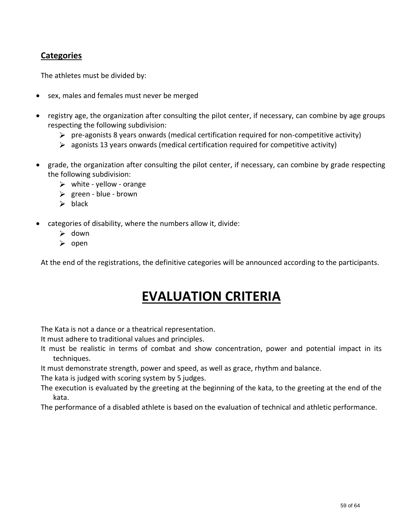## **Categories**

The athletes must be divided by:

- sex, males and females must never be merged
- registry age, the organization after consulting the pilot center, if necessary, can combine by age groups respecting the following subdivision:
	- $\triangleright$  pre-agonists 8 years onwards (medical certification required for non-competitive activity)
	- $\triangleright$  agonists 13 years onwards (medical certification required for competitive activity)
- grade, the organization after consulting the pilot center, if necessary, can combine by grade respecting the following subdivision:
	- $\triangleright$  white yellow orange
	- $\triangleright$  green blue brown
	- $\triangleright$  black
- categories of disability, where the numbers allow it, divide:
	- $\triangleright$  down
	- $\triangleright$  open

At the end of the registrations, the definitive categories will be announced according to the participants.

## **EVALUATION CRITERIA**

The Kata is not a dance or a theatrical representation.

It must adhere to traditional values and principles.

It must be realistic in terms of combat and show concentration, power and potential impact in its techniques.

It must demonstrate strength, power and speed, as well as grace, rhythm and balance.

The kata is judged with scoring system by 5 judges.

The execution is evaluated by the greeting at the beginning of the kata, to the greeting at the end of the kata.

The performance of a disabled athlete is based on the evaluation of technical and athletic performance.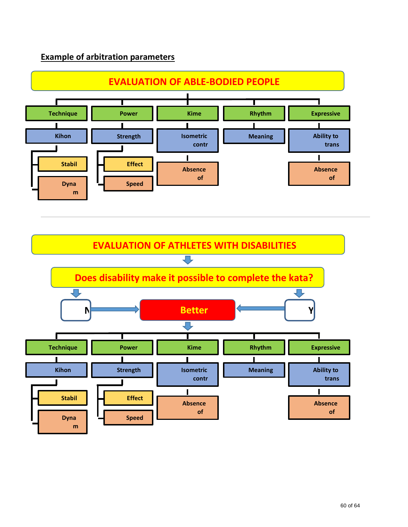## **Example of arbitration parameters**

**ic** 

**a**



**s**

**a EVALUATION OF ATHLETES WITH DISABILITIES c** ĮЪ, **Does disability make it possible to complete the kata? Better N Y expression** г **S Technique Power Kime Rhythm Expressive ness Kihon Strength Isometric Meaning Ability to contr trans (Scho ols) actio mit** п **n Stabil Effect Absence Absence it iv of of e Speed y Dyna merg attitu n m**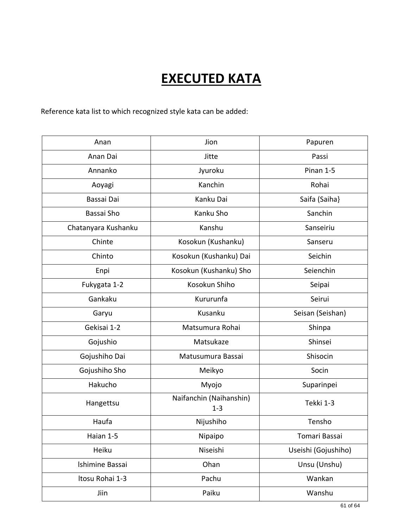# **EXECUTED KATA**

Reference kata list to which recognized style kata can be added:

| Anan                | Jion                               | Papuren             |
|---------------------|------------------------------------|---------------------|
| Anan Dai            | Jitte                              | Passi               |
| Annanko             | Jyuroku                            | Pinan 1-5           |
| Aoyagi              | Kanchin                            | Rohai               |
| Bassai Dai          | Kanku Dai                          | Saifa (Saiha}       |
| Bassai Sho          | Kanku Sho                          | Sanchin             |
| Chatanyara Kushanku | Kanshu                             | Sanseiriu           |
| Chinte              | Kosokun (Kushanku)                 | Sanseru             |
| Chinto              | Kosokun (Kushanku) Dai             | Seichin             |
| Enpi                | Kosokun (Kushanku) Sho             | Seienchin           |
| Fukygata 1-2        | Kosokun Shiho                      | Seipai              |
| Gankaku             | Kururunfa                          | Seirui              |
| Garyu               | Kusanku                            | Seisan (Seishan)    |
| Gekisai 1-2         | Matsumura Rohai                    | Shinpa              |
| Gojushio            | Matsukaze                          | Shinsei             |
| Gojushiho Dai       | Matusumura Bassai                  | Shisocin            |
| Gojushiho Sho       | Meikyo                             | Socin               |
| Hakucho             | Myojo                              | Suparinpei          |
| Hangettsu           | Naifanchin (Naihanshin)<br>$1 - 3$ | Tekki 1-3           |
| Haufa               | Nijushiho                          | Tensho              |
| Haian 1-5           | Nipaipo                            | Tomari Bassai       |
| Heiku               | Niseishi                           | Useishi (Gojushiho) |
| Ishimine Bassai     | Ohan                               | Unsu (Unshu)        |
| Itosu Rohai 1-3     | Pachu                              | Wankan              |
| Jiin                | Paiku                              | Wanshu              |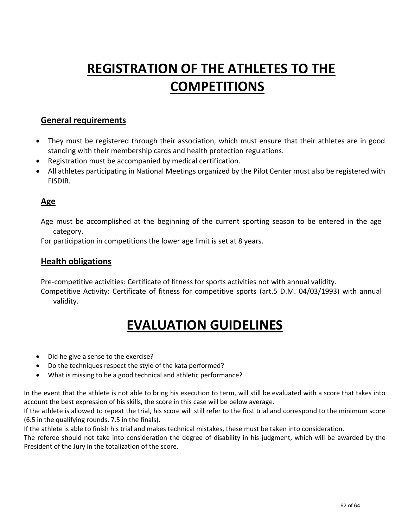# **REGISTRATION OF THE ATHLETES TO THE COMPETITIONS**

## **General requirements**

- They must be registered through their association, which must ensure that their athletes are in good standing with their membership cards and health protection regulations.
- Registration must be accompanied by medical certification.
- All athletes participating in National Meetings organized by the Pilot Center must also be registered with FISDIR.

## **Age**

Age must be accomplished at the beginning of the current sporting season to be entered in the age category.

For participation in competitions the lower age limit is set at 8 years.

### **Health obligations**

Pre-competitive activities: Certificate of fitness for sports activities not with annual validity.

Competitive Activity: Certificate of fitness for competitive sports (art.5 D.M. 04/03/1993) with annual validity.

## **EVALUATION GUIDELINES**

- Did he give a sense to the exercise?
- Do the techniques respect the style of the kata performed?
- What is missing to be a good technical and athletic performance?

In the event that the athlete is not able to bring his execution to term, will still be evaluated with a score that takes into account the best expression of his skills, the score in this case will be below average.

If the athlete is allowed to repeat the trial, his score will still refer to the first trial and correspond to the minimum score (6.5 in the qualifying rounds, 7.5 in the finals).

If the athlete is able to finish his trial and makes technical mistakes, these must be taken into consideration.

The referee should not take into consideration the degree of disability in his judgment, which will be awarded by the President of the Jury in the totalization of the score.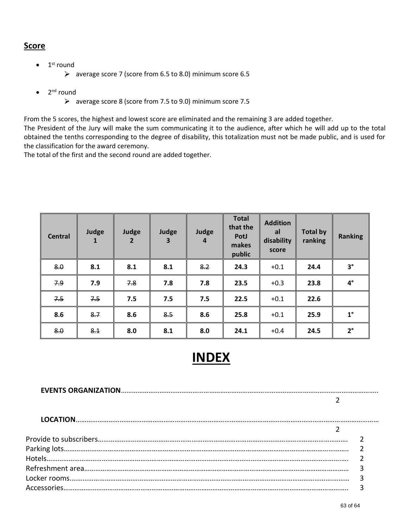#### **Score**

- $\bullet$  1<sup>st</sup> round
	- average score 7 (score from 6.5 to 8.0) minimum score 6.5
- 2<sup>nd</sup> round
	- average score 8 (score from 7.5 to 9.0) minimum score 7.5

From the 5 scores, the highest and lowest score are eliminated and the remaining 3 are added together.

The President of the Jury will make the sum communicating it to the audience, after which he will add up to the total obtained the tenths corresponding to the degree of disability, this totalization must not be made public, and is used for the classification for the award ceremony.

The total of the first and the second round are added together.

| <b>Central</b> | Judge<br>$\mathbf{1}$ | Judge<br>$\overline{2}$ | Judge<br>$\mathbf{3}$ | Judge<br>$\overline{a}$ | <b>Total</b><br>that the<br>PotJ<br>makes<br>public | <b>Addition</b><br>al<br>disability<br>score | <b>Total by</b><br>ranking | <b>Ranking</b> |
|----------------|-----------------------|-------------------------|-----------------------|-------------------------|-----------------------------------------------------|----------------------------------------------|----------------------------|----------------|
| 8.0            | 8.1                   | 8.1                     | 8.1                   | 8.2                     | 24.3                                                | $+0.1$                                       | 24.4                       | $3^\circ$      |
| 7.9            | 7.9                   | 7.8                     | 7.8                   | 7.8                     | 23.5                                                | $+0.3$                                       | 23.8                       | $4^{\circ}$    |
| 7.5            | 7.5                   | 7.5                     | 7.5                   | 7.5                     | 22.5                                                | $+0.1$                                       | 22.6                       |                |
| 8.6            | 8.7                   | 8.6                     | 8.5                   | 8.6                     | 25.8                                                | $+0.1$                                       | 25.9                       | $1^{\circ}$    |
| 8.0            | 8.1                   | 8.0                     | 8.1                   | 8.0                     | 24.1                                                | $+0.4$                                       | 24.5                       | $2^{\circ}$    |

## **INDEX**